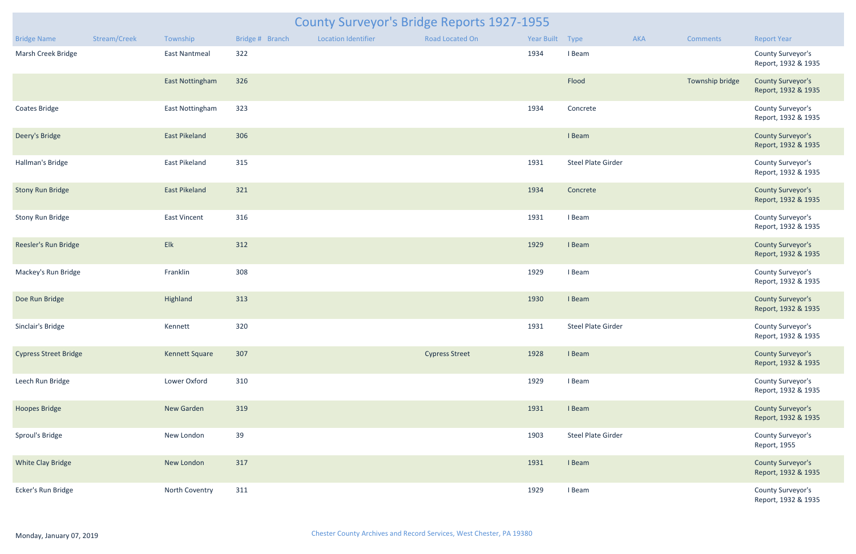|                              | <b>County Surveyor's Bridge Reports 1927-1955</b> |                        |                 |                            |                        |                 |                           |     |                 |                                                 |  |  |  |
|------------------------------|---------------------------------------------------|------------------------|-----------------|----------------------------|------------------------|-----------------|---------------------------|-----|-----------------|-------------------------------------------------|--|--|--|
| <b>Bridge Name</b>           | Stream/Creek                                      | Township               | Bridge # Branch | <b>Location Identifier</b> | <b>Road Located On</b> | Year Built Type |                           | AKA | Comments        | <b>Report Year</b>                              |  |  |  |
| Marsh Creek Bridge           |                                                   | <b>East Nantmeal</b>   | 322             |                            |                        | 1934            | I Beam                    |     |                 | County Surveyor's<br>Report, 1932 & 1935        |  |  |  |
|                              |                                                   | <b>East Nottingham</b> | 326             |                            |                        |                 | Flood                     |     | Township bridge | <b>County Surveyor's</b><br>Report, 1932 & 1935 |  |  |  |
| <b>Coates Bridge</b>         |                                                   | East Nottingham        | 323             |                            |                        | 1934            | Concrete                  |     |                 | County Surveyor's<br>Report, 1932 & 1935        |  |  |  |
| Deery's Bridge               |                                                   | <b>East Pikeland</b>   | 306             |                            |                        |                 | I Beam                    |     |                 | <b>County Surveyor's</b><br>Report, 1932 & 1935 |  |  |  |
| Hallman's Bridge             |                                                   | East Pikeland          | 315             |                            |                        | 1931            | <b>Steel Plate Girder</b> |     |                 | County Surveyor's<br>Report, 1932 & 1935        |  |  |  |
| <b>Stony Run Bridge</b>      |                                                   | <b>East Pikeland</b>   | 321             |                            |                        | 1934            | Concrete                  |     |                 | <b>County Surveyor's</b><br>Report, 1932 & 1935 |  |  |  |
| <b>Stony Run Bridge</b>      |                                                   | <b>East Vincent</b>    | 316             |                            |                        | 1931            | I Beam                    |     |                 | County Surveyor's<br>Report, 1932 & 1935        |  |  |  |
| Reesler's Run Bridge         |                                                   | Elk                    | 312             |                            |                        | 1929            | I Beam                    |     |                 | <b>County Surveyor's</b><br>Report, 1932 & 1935 |  |  |  |
| Mackey's Run Bridge          |                                                   | Franklin               | 308             |                            |                        | 1929            | I Beam                    |     |                 | County Surveyor's<br>Report, 1932 & 1935        |  |  |  |
| Doe Run Bridge               |                                                   | Highland               | 313             |                            |                        | 1930            | I Beam                    |     |                 | <b>County Surveyor's</b><br>Report, 1932 & 1935 |  |  |  |
| Sinclair's Bridge            |                                                   | Kennett                | 320             |                            |                        | 1931            | Steel Plate Girder        |     |                 | County Surveyor's<br>Report, 1932 & 1935        |  |  |  |
| <b>Cypress Street Bridge</b> |                                                   | <b>Kennett Square</b>  | 307             |                            | <b>Cypress Street</b>  | 1928            | I Beam                    |     |                 | <b>County Surveyor's</b><br>Report, 1932 & 1935 |  |  |  |
| Leech Run Bridge             |                                                   | Lower Oxford           | 310             |                            |                        | 1929            | I Beam                    |     |                 | County Surveyor's<br>Report, 1932 & 1935        |  |  |  |
| <b>Hoopes Bridge</b>         |                                                   | New Garden             | 319             |                            |                        | 1931            | I Beam                    |     |                 | <b>County Surveyor's</b><br>Report, 1932 & 1935 |  |  |  |
| Sproul's Bridge              |                                                   | New London             | 39              |                            |                        | 1903            | <b>Steel Plate Girder</b> |     |                 | County Surveyor's<br>Report, 1955               |  |  |  |
| <b>White Clay Bridge</b>     |                                                   | New London             | 317             |                            |                        | 1931            | I Beam                    |     |                 | <b>County Surveyor's</b><br>Report, 1932 & 1935 |  |  |  |
| Ecker's Run Bridge           |                                                   | North Coventry         | 311             |                            |                        | 1929            | I Beam                    |     |                 | County Surveyor's<br>Report, 1932 & 1935        |  |  |  |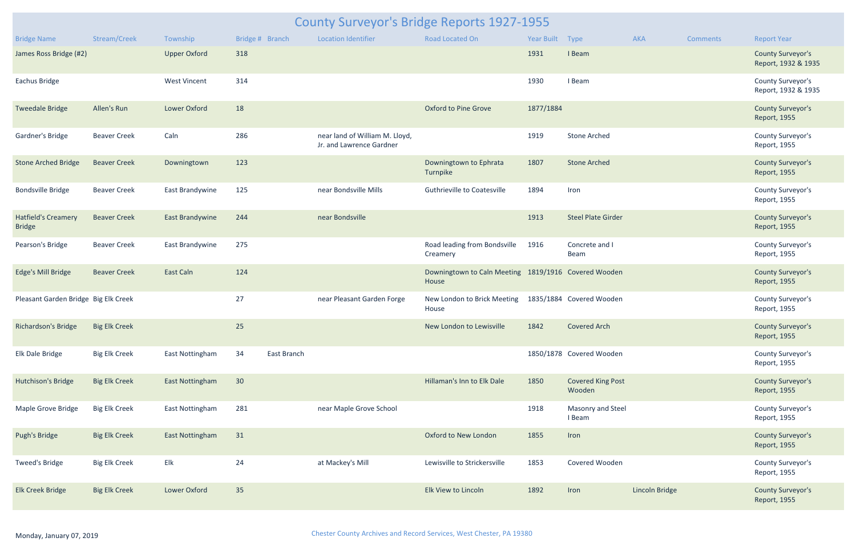| <b>County Surveyor's Bridge Reports 1927-1955</b> |                      |                     |                   |  |                                                            |                                                               |                   |                                    |                       |                 |                                                 |  |
|---------------------------------------------------|----------------------|---------------------|-------------------|--|------------------------------------------------------------|---------------------------------------------------------------|-------------------|------------------------------------|-----------------------|-----------------|-------------------------------------------------|--|
| <b>Bridge Name</b>                                | Stream/Creek         | Township            | Bridge # Branch   |  | <b>Location Identifier</b>                                 | Road Located On                                               | <b>Year Built</b> | <b>Type</b>                        | AKA                   | <b>Comments</b> | <b>Report Year</b>                              |  |
| James Ross Bridge (#2)                            |                      | <b>Upper Oxford</b> | 318               |  |                                                            |                                                               | 1931              | I Beam                             |                       |                 | <b>County Surveyor's</b><br>Report, 1932 & 1935 |  |
| Eachus Bridge                                     |                      | <b>West Vincent</b> | 314               |  |                                                            |                                                               | 1930              | I Beam                             |                       |                 | County Surveyor's<br>Report, 1932 & 1935        |  |
| <b>Tweedale Bridge</b>                            | Allen's Run          | Lower Oxford        | 18                |  |                                                            | <b>Oxford to Pine Grove</b>                                   | 1877/1884         |                                    |                       |                 | <b>County Surveyor's</b><br>Report, 1955        |  |
| Gardner's Bridge                                  | <b>Beaver Creek</b>  | Caln                | 286               |  | near land of William M. Lloyd,<br>Jr. and Lawrence Gardner |                                                               | 1919              | <b>Stone Arched</b>                |                       |                 | County Surveyor's<br>Report, 1955               |  |
| <b>Stone Arched Bridge</b>                        | <b>Beaver Creek</b>  | Downingtown         | 123               |  |                                                            | Downingtown to Ephrata<br>Turnpike                            | 1807              | <b>Stone Arched</b>                |                       |                 | <b>County Surveyor's</b><br>Report, 1955        |  |
| <b>Bondsville Bridge</b>                          | <b>Beaver Creek</b>  | East Brandywine     | 125               |  | near Bondsville Mills                                      | <b>Guthrieville to Coatesville</b>                            | 1894              | Iron                               |                       |                 | County Surveyor's<br>Report, 1955               |  |
| <b>Hatfield's Creamery</b><br><b>Bridge</b>       | <b>Beaver Creek</b>  | East Brandywine     | 244               |  | near Bondsville                                            |                                                               | 1913              | <b>Steel Plate Girder</b>          |                       |                 | <b>County Surveyor's</b><br>Report, 1955        |  |
| Pearson's Bridge                                  | <b>Beaver Creek</b>  | East Brandywine     | 275               |  |                                                            | Road leading from Bondsville<br>Creamery                      | 1916              | Concrete and I<br>Beam             |                       |                 | County Surveyor's<br>Report, 1955               |  |
| Edge's Mill Bridge                                | <b>Beaver Creek</b>  | <b>East Caln</b>    | 124               |  |                                                            | Downingtown to Caln Meeting 1819/1916 Covered Wooden<br>House |                   |                                    |                       |                 | <b>County Surveyor's</b><br>Report, 1955        |  |
| Pleasant Garden Bridge Big Elk Creek              |                      |                     | 27                |  | near Pleasant Garden Forge                                 | New London to Brick Meeting 1835/1884 Covered Wooden<br>House |                   |                                    |                       |                 | County Surveyor's<br>Report, 1955               |  |
| Richardson's Bridge Big Elk Creek                 |                      |                     | 25                |  |                                                            | New London to Lewisville 1842 Covered Arch                    |                   |                                    |                       |                 | <b>County Surveyor's</b><br>Report, 1955        |  |
| Elk Dale Bridge                                   | <b>Big Elk Creek</b> | East Nottingham     | 34<br>East Branch |  |                                                            |                                                               |                   | 1850/1878 Covered Wooden           |                       |                 | County Surveyor's<br>Report, 1955               |  |
| Hutchison's Bridge                                | <b>Big Elk Creek</b> | East Nottingham     | 30 <sup>°</sup>   |  |                                                            | Hillaman's Inn to Elk Dale                                    | 1850              | <b>Covered King Post</b><br>Wooden |                       |                 | <b>County Surveyor's</b><br>Report, 1955        |  |
| Maple Grove Bridge                                | <b>Big Elk Creek</b> | East Nottingham     | 281               |  | near Maple Grove School                                    |                                                               | 1918              | Masonry and Steel<br>I Beam        |                       |                 | County Surveyor's<br>Report, 1955               |  |
| Pugh's Bridge                                     | <b>Big Elk Creek</b> | East Nottingham     | 31                |  |                                                            | Oxford to New London                                          | 1855              | Iron                               |                       |                 | <b>County Surveyor's</b><br>Report, 1955        |  |
| Tweed's Bridge                                    | <b>Big Elk Creek</b> | Elk                 | 24                |  | at Mackey's Mill                                           | Lewisville to Strickersville                                  | 1853              | Covered Wooden                     |                       |                 | County Surveyor's<br>Report, 1955               |  |
| <b>Elk Creek Bridge</b>                           | <b>Big Elk Creek</b> | Lower Oxford        | 35                |  |                                                            | Elk View to Lincoln                                           | 1892              | Iron                               | <b>Lincoln Bridge</b> |                 | <b>County Surveyor's</b><br>Report, 1955        |  |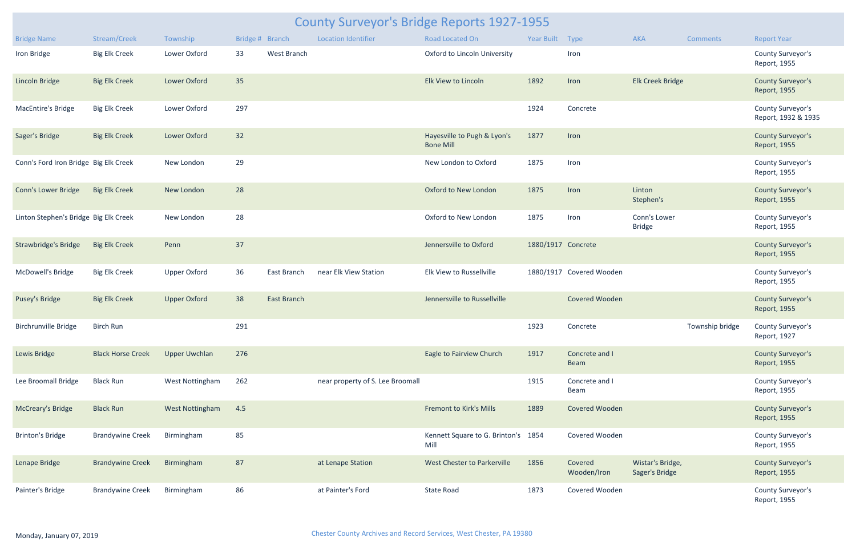| <b>County Surveyor's Bridge Reports 1927-1955</b> |                          |                        |                 |                    |                                  |                                                 |                    |                               |                                    |                 |                                          |
|---------------------------------------------------|--------------------------|------------------------|-----------------|--------------------|----------------------------------|-------------------------------------------------|--------------------|-------------------------------|------------------------------------|-----------------|------------------------------------------|
| <b>Bridge Name</b>                                | Stream/Creek             | Township               | Bridge # Branch |                    | <b>Location Identifier</b>       | Road Located On                                 | Year Built Type    |                               | AKA                                | <b>Comments</b> | <b>Report Year</b>                       |
| Iron Bridge                                       | <b>Big Elk Creek</b>     | Lower Oxford           | 33              | West Branch        |                                  | Oxford to Lincoln University                    |                    | Iron                          |                                    |                 | County Surveyor's<br>Report, 1955        |
| <b>Lincoln Bridge</b>                             | <b>Big Elk Creek</b>     | Lower Oxford           | 35              |                    |                                  | Elk View to Lincoln                             | 1892               | Iron                          | <b>Elk Creek Bridge</b>            |                 | <b>County Surveyor's</b><br>Report, 1955 |
| <b>MacEntire's Bridge</b>                         | <b>Big Elk Creek</b>     | Lower Oxford           | 297             |                    |                                  |                                                 | 1924               | Concrete                      |                                    |                 | County Surveyor's<br>Report, 1932 & 1935 |
| Sager's Bridge                                    | <b>Big Elk Creek</b>     | Lower Oxford           | 32              |                    |                                  | Hayesville to Pugh & Lyon's<br><b>Bone Mill</b> | 1877               | Iron                          |                                    |                 | <b>County Surveyor's</b><br>Report, 1955 |
| Conn's Ford Iron Bridge Big Elk Creek             |                          | New London             | 29              |                    |                                  | New London to Oxford                            | 1875               | Iron                          |                                    |                 | County Surveyor's<br>Report, 1955        |
| Conn's Lower Bridge                               | <b>Big Elk Creek</b>     | New London             | 28              |                    |                                  | Oxford to New London                            | 1875               | Iron                          | Linton<br>Stephen's                |                 | <b>County Surveyor's</b><br>Report, 1955 |
| Linton Stephen's Bridge Big Elk Creek             |                          | New London             | 28              |                    |                                  | Oxford to New London                            | 1875               | Iron                          | Conn's Lower<br><b>Bridge</b>      |                 | County Surveyor's<br>Report, 1955        |
| <b>Strawbridge's Bridge</b>                       | <b>Big Elk Creek</b>     | Penn                   | 37              |                    |                                  | Jennersville to Oxford                          | 1880/1917 Concrete |                               |                                    |                 | <b>County Surveyor's</b><br>Report, 1955 |
| McDowell's Bridge                                 | <b>Big Elk Creek</b>     | <b>Upper Oxford</b>    | 36              | East Branch        | near Elk View Station            | Elk View to Russellville                        |                    | 1880/1917 Covered Wooden      |                                    |                 | County Surveyor's<br>Report, 1955        |
| <b>Pusey's Bridge</b>                             | <b>Big Elk Creek</b>     | <b>Upper Oxford</b>    | 38              | <b>East Branch</b> |                                  | Jennersville to Russellville                    |                    | Covered Wooden                |                                    |                 | <b>County Surveyor's</b><br>Report, 1955 |
| <b>Birchrunville Bridge</b>                       | Birch Run                |                        | 291             |                    |                                  |                                                 | 1923               | Concrete                      |                                    | Township bridge | County Surveyor's<br>Report, 1927        |
| Lewis Bridge                                      | <b>Black Horse Creek</b> | <b>Upper Uwchlan</b>   | 276             |                    |                                  | Eagle to Fairview Church                        | 1917               | Concrete and I<br><b>Beam</b> |                                    |                 | <b>County Surveyor's</b><br>Report, 1955 |
| Lee Broomall Bridge                               | <b>Black Run</b>         | West Nottingham        | 262             |                    | near property of S. Lee Broomall |                                                 | 1915               | Concrete and I<br>Beam        |                                    |                 | County Surveyor's<br>Report, 1955        |
| <b>McCreary's Bridge</b>                          | <b>Black Run</b>         | <b>West Nottingham</b> | 4.5             |                    |                                  | <b>Fremont to Kirk's Mills</b>                  | 1889               | Covered Wooden                |                                    |                 | <b>County Surveyor's</b><br>Report, 1955 |
| <b>Brinton's Bridge</b>                           | <b>Brandywine Creek</b>  | Birmingham             | 85              |                    |                                  | Kennett Square to G. Brinton's 1854<br>Mill     |                    | Covered Wooden                |                                    |                 | County Surveyor's<br>Report, 1955        |
| Lenape Bridge                                     | <b>Brandywine Creek</b>  | Birmingham             | 87              |                    | at Lenape Station                | West Chester to Parkerville                     | 1856               | Covered<br>Wooden/Iron        | Wistar's Bridge,<br>Sager's Bridge |                 | <b>County Surveyor's</b><br>Report, 1955 |
| Painter's Bridge                                  | <b>Brandywine Creek</b>  | Birmingham             | 86              |                    | at Painter's Ford                | <b>State Road</b>                               | 1873               | Covered Wooden                |                                    |                 | County Surveyor's<br>Report, 1955        |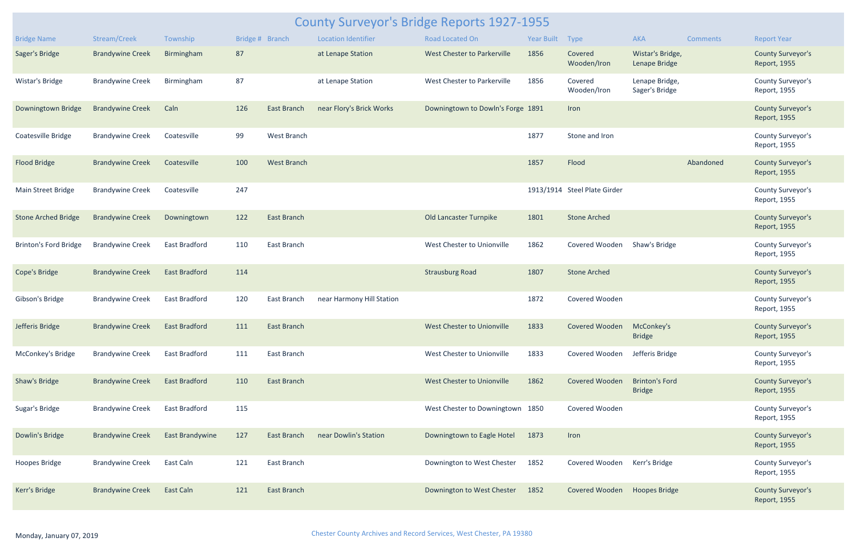| <b>County Surveyor's Bridge Reports 1927-1955</b> |                                |                      |                 |                    |                            |                                   |                 |                              |                                        |                 |                                          |
|---------------------------------------------------|--------------------------------|----------------------|-----------------|--------------------|----------------------------|-----------------------------------|-----------------|------------------------------|----------------------------------------|-----------------|------------------------------------------|
| <b>Bridge Name</b>                                | Stream/Creek                   | Township             | Bridge # Branch |                    | <b>Location Identifier</b> | Road Located On                   | Year Built Type |                              | <b>AKA</b>                             | <b>Comments</b> | <b>Report Year</b>                       |
| Sager's Bridge                                    | <b>Brandywine Creek</b>        | Birmingham           | 87              |                    | at Lenape Station          | West Chester to Parkerville       | 1856            | Covered<br>Wooden/Iron       | Wistar's Bridge,<br>Lenape Bridge      |                 | <b>County Surveyor's</b><br>Report, 1955 |
| Wistar's Bridge                                   | <b>Brandywine Creek</b>        | Birmingham           | 87              |                    | at Lenape Station          | West Chester to Parkerville       | 1856            | Covered<br>Wooden/Iron       | Lenape Bridge,<br>Sager's Bridge       |                 | County Surveyor's<br>Report, 1955        |
| Downingtown Bridge                                | <b>Brandywine Creek</b>        | Caln                 | 126             | East Branch        | near Flory's Brick Works   | Downingtown to Dowln's Forge 1891 |                 | Iron                         |                                        |                 | <b>County Surveyor's</b><br>Report, 1955 |
| Coatesville Bridge                                | <b>Brandywine Creek</b>        | Coatesville          | 99              | West Branch        |                            |                                   | 1877            | Stone and Iron               |                                        |                 | County Surveyor's<br>Report, 1955        |
| <b>Flood Bridge</b>                               | <b>Brandywine Creek</b>        | Coatesville          | 100             | <b>West Branch</b> |                            |                                   | 1857            | Flood                        |                                        | Abandoned       | <b>County Surveyor's</b><br>Report, 1955 |
| Main Street Bridge                                | <b>Brandywine Creek</b>        | Coatesville          | 247             |                    |                            |                                   |                 | 1913/1914 Steel Plate Girder |                                        |                 | County Surveyor's<br>Report, 1955        |
| <b>Stone Arched Bridge</b>                        | <b>Brandywine Creek</b>        | Downingtown          | 122             | East Branch        |                            | Old Lancaster Turnpike            | 1801            | <b>Stone Arched</b>          |                                        |                 | <b>County Surveyor's</b><br>Report, 1955 |
| <b>Brinton's Ford Bridge</b>                      | <b>Brandywine Creek</b>        | East Bradford        | 110             | East Branch        |                            | West Chester to Unionville        | 1862            | Covered Wooden               | Shaw's Bridge                          |                 | County Surveyor's<br>Report, 1955        |
| Cope's Bridge                                     | <b>Brandywine Creek</b>        | <b>East Bradford</b> | 114             |                    |                            | <b>Strausburg Road</b>            | 1807            | <b>Stone Arched</b>          |                                        |                 | <b>County Surveyor's</b><br>Report, 1955 |
| Gibson's Bridge                                   | <b>Brandywine Creek</b>        | East Bradford        | 120             | East Branch        | near Harmony Hill Station  |                                   | 1872            | Covered Wooden               |                                        |                 | County Surveyor's<br>Report, 1955        |
| Jefferis Bridge                                   | Brandywine Creek East Bradford |                      | 111             | East Branch        |                            | West Chester to Unionville        | 1833            | Covered Wooden McConkey's    | <b>Bridge</b>                          |                 | <b>County Surveyor's</b><br>Report, 1955 |
| McConkey's Bridge                                 | <b>Brandywine Creek</b>        | East Bradford        | 111             | East Branch        |                            | West Chester to Unionville        | 1833            | Covered Wooden               | Jefferis Bridge                        |                 | County Surveyor's<br>Report, 1955        |
| Shaw's Bridge                                     | <b>Brandywine Creek</b>        | <b>East Bradford</b> | 110             | <b>East Branch</b> |                            | West Chester to Unionville        | 1862            | Covered Wooden               | <b>Brinton's Ford</b><br><b>Bridge</b> |                 | <b>County Surveyor's</b><br>Report, 1955 |
| Sugar's Bridge                                    | <b>Brandywine Creek</b>        | East Bradford        | 115             |                    |                            | West Chester to Downingtown 1850  |                 | Covered Wooden               |                                        |                 | County Surveyor's<br>Report, 1955        |
| Dowlin's Bridge                                   | <b>Brandywine Creek</b>        | East Brandywine      | 127             | East Branch        | near Dowlin's Station      | Downingtown to Eagle Hotel        | 1873            | Iron                         |                                        |                 | <b>County Surveyor's</b><br>Report, 1955 |
| Hoopes Bridge                                     | <b>Brandywine Creek</b>        | East Caln            | 121             | East Branch        |                            | Downington to West Chester        | 1852            | Covered Wooden               | Kerr's Bridge                          |                 | County Surveyor's<br>Report, 1955        |
| Kerr's Bridge                                     | <b>Brandywine Creek</b>        | East Caln            | 121             | East Branch        |                            | Downington to West Chester        | 1852            | Covered Wooden               | <b>Hoopes Bridge</b>                   |                 | <b>County Surveyor's</b><br>Report, 1955 |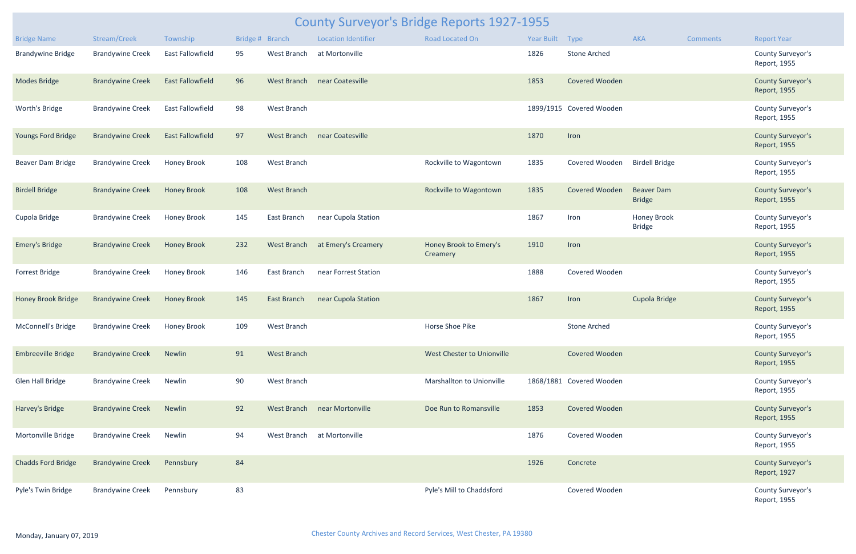| County Surveyor's Bridge Reports 1927-1955 |                              |                         |                 |                    |                              |                                    |            |                          |                                    |                 |                                          |
|--------------------------------------------|------------------------------|-------------------------|-----------------|--------------------|------------------------------|------------------------------------|------------|--------------------------|------------------------------------|-----------------|------------------------------------------|
| <b>Bridge Name</b>                         | Stream/Creek                 | Township                | Bridge # Branch |                    | <b>Location Identifier</b>   | Road Located On                    | Year Built | Type                     | AKA                                | <b>Comments</b> | <b>Report Year</b>                       |
| <b>Brandywine Bridge</b>                   | <b>Brandywine Creek</b>      | <b>East Fallowfield</b> | 95              | West Branch        | at Mortonville               |                                    | 1826       | <b>Stone Arched</b>      |                                    |                 | County Surveyor's<br>Report, 1955        |
| <b>Modes Bridge</b>                        | <b>Brandywine Creek</b>      | <b>East Fallowfield</b> | 96              | West Branch        | near Coatesville             |                                    | 1853       | <b>Covered Wooden</b>    |                                    |                 | <b>County Surveyor's</b><br>Report, 1955 |
| Worth's Bridge                             | <b>Brandywine Creek</b>      | <b>East Fallowfield</b> | 98              | West Branch        |                              |                                    |            | 1899/1915 Covered Wooden |                                    |                 | County Surveyor's<br>Report, 1955        |
| <b>Youngs Ford Bridge</b>                  | <b>Brandywine Creek</b>      | <b>East Fallowfield</b> | 97              |                    | West Branch near Coatesville |                                    | 1870       | Iron                     |                                    |                 | <b>County Surveyor's</b><br>Report, 1955 |
| Beaver Dam Bridge                          | <b>Brandywine Creek</b>      | <b>Honey Brook</b>      | 108             | West Branch        |                              | Rockville to Wagontown             | 1835       | Covered Wooden           | <b>Birdell Bridge</b>              |                 | County Surveyor's<br>Report, 1955        |
| <b>Birdell Bridge</b>                      | <b>Brandywine Creek</b>      | <b>Honey Brook</b>      | 108             | <b>West Branch</b> |                              | Rockville to Wagontown             | 1835       | <b>Covered Wooden</b>    | <b>Beaver Dam</b><br><b>Bridge</b> |                 | <b>County Surveyor's</b><br>Report, 1955 |
| Cupola Bridge                              | <b>Brandywine Creek</b>      | <b>Honey Brook</b>      | 145             | East Branch        | near Cupola Station          |                                    | 1867       | Iron                     | Honey Brook<br><b>Bridge</b>       |                 | County Surveyor's<br>Report, 1955        |
| <b>Emery's Bridge</b>                      | <b>Brandywine Creek</b>      | <b>Honey Brook</b>      | 232             | West Branch        | at Emery's Creamery          | Honey Brook to Emery's<br>Creamery | 1910       | Iron                     |                                    |                 | <b>County Surveyor's</b><br>Report, 1955 |
| <b>Forrest Bridge</b>                      | <b>Brandywine Creek</b>      | Honey Brook             | 146             | East Branch        | near Forrest Station         |                                    | 1888       | Covered Wooden           |                                    |                 | County Surveyor's<br>Report, 1955        |
| <b>Honey Brook Bridge</b>                  | <b>Brandywine Creek</b>      | <b>Honey Brook</b>      | 145             | <b>East Branch</b> | near Cupola Station          |                                    | 1867       | Iron                     | Cupola Bridge                      |                 | <b>County Surveyor's</b><br>Report, 1955 |
| McConnell's Bridge                         | Brandywine Creek Honey Brook |                         | 109             | West Branch        |                              | Horse Shoe Pike                    |            | <b>Stone Arched</b>      |                                    |                 | County Surveyor's<br>Report, 1955        |
| <b>Embreeville Bridge</b>                  | <b>Brandywine Creek</b>      | Newlin                  | 91              | <b>West Branch</b> |                              | West Chester to Unionville         |            | Covered Wooden           |                                    |                 | <b>County Surveyor's</b><br>Report, 1955 |
| Glen Hall Bridge                           | <b>Brandywine Creek</b>      | Newlin                  | 90              | West Branch        |                              | Marshallton to Unionville          |            | 1868/1881 Covered Wooden |                                    |                 | County Surveyor's<br>Report, 1955        |
| Harvey's Bridge                            | <b>Brandywine Creek</b>      | Newlin                  | 92              |                    | West Branch near Mortonville | Doe Run to Romansville             | 1853       | Covered Wooden           |                                    |                 | <b>County Surveyor's</b><br>Report, 1955 |
| Mortonville Bridge                         | <b>Brandywine Creek</b>      | Newlin                  | 94              | West Branch        | at Mortonville               |                                    | 1876       | Covered Wooden           |                                    |                 | County Surveyor's<br>Report, 1955        |
| <b>Chadds Ford Bridge</b>                  | <b>Brandywine Creek</b>      | Pennsbury               | 84              |                    |                              |                                    | 1926       | Concrete                 |                                    |                 | <b>County Surveyor's</b><br>Report, 1927 |
| Pyle's Twin Bridge                         | <b>Brandywine Creek</b>      | Pennsbury               | 83              |                    |                              | Pyle's Mill to Chaddsford          |            | Covered Wooden           |                                    |                 | County Surveyor's<br>Report, 1955        |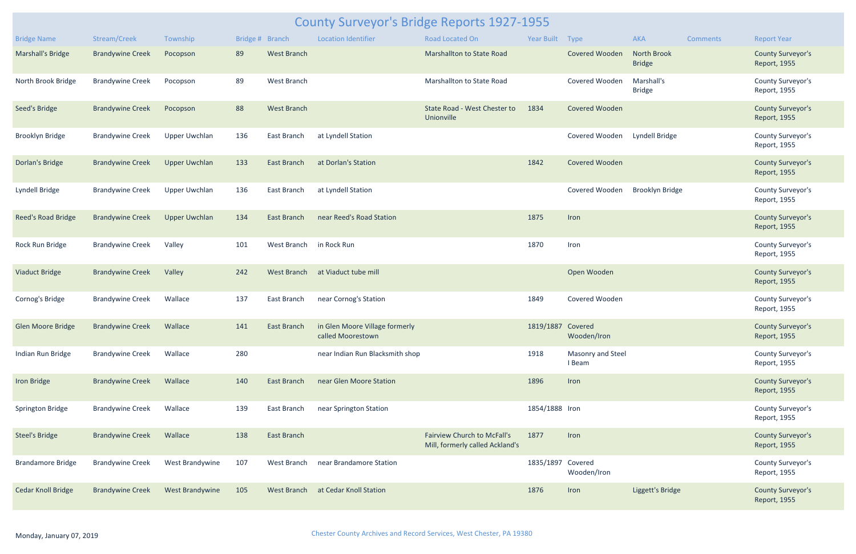| <b>County Surveyor's Bridge Reports 1927-1955</b> |                          |                      |                 |                    |                                                                 |                                                                       |                   |                               |                                     |          |                                          |
|---------------------------------------------------|--------------------------|----------------------|-----------------|--------------------|-----------------------------------------------------------------|-----------------------------------------------------------------------|-------------------|-------------------------------|-------------------------------------|----------|------------------------------------------|
| <b>Bridge Name</b>                                | Stream/Creek             | Township             | Bridge # Branch |                    | <b>Location Identifier</b>                                      | Road Located On                                                       | Year Built Type   |                               | AKA                                 | Comments | <b>Report Year</b>                       |
| <b>Marshall's Bridge</b>                          | <b>Brandywine Creek</b>  | Pocopson             | 89              | <b>West Branch</b> |                                                                 | Marshallton to State Road                                             |                   | <b>Covered Wooden</b>         | <b>North Brook</b><br><b>Bridge</b> |          | <b>County Surveyor's</b><br>Report, 1955 |
| North Brook Bridge                                | <b>Brandywine Creek</b>  | Pocopson             | 89              | <b>West Branch</b> |                                                                 | Marshallton to State Road                                             |                   | Covered Wooden                | Marshall's<br><b>Bridge</b>         |          | County Surveyor's<br>Report, 1955        |
| Seed's Bridge                                     | <b>Brandywine Creek</b>  | Pocopson             | 88              | <b>West Branch</b> |                                                                 | State Road - West Chester to<br>Unionville                            | 1834              | <b>Covered Wooden</b>         |                                     |          | <b>County Surveyor's</b><br>Report, 1955 |
| <b>Brooklyn Bridge</b>                            | <b>Brandywine Creek</b>  | <b>Upper Uwchlan</b> | 136             | East Branch        | at Lyndell Station                                              |                                                                       |                   | Covered Wooden Lyndell Bridge |                                     |          | County Surveyor's<br>Report, 1955        |
| Dorlan's Bridge                                   | <b>Brandywine Creek</b>  | <b>Upper Uwchlan</b> | 133             | East Branch        | at Dorlan's Station                                             |                                                                       | 1842              | Covered Wooden                |                                     |          | <b>County Surveyor's</b><br>Report, 1955 |
| Lyndell Bridge                                    | <b>Brandywine Creek</b>  | <b>Upper Uwchlan</b> | 136             | East Branch        | at Lyndell Station                                              |                                                                       |                   | Covered Wooden                | <b>Brooklyn Bridge</b>              |          | County Surveyor's<br>Report, 1955        |
| Reed's Road Bridge                                | <b>Brandywine Creek</b>  | <b>Upper Uwchlan</b> | 134             | <b>East Branch</b> | near Reed's Road Station                                        |                                                                       | 1875              | Iron                          |                                     |          | <b>County Surveyor's</b><br>Report, 1955 |
| Rock Run Bridge                                   | <b>Brandywine Creek</b>  | Valley               | 101             | West Branch        | in Rock Run                                                     |                                                                       | 1870              | Iron                          |                                     |          | County Surveyor's<br>Report, 1955        |
| <b>Viaduct Bridge</b>                             | <b>Brandywine Creek</b>  | Valley               | 242             | West Branch        | at Viaduct tube mill                                            |                                                                       |                   | Open Wooden                   |                                     |          | <b>County Surveyor's</b><br>Report, 1955 |
| Cornog's Bridge                                   | <b>Brandywine Creek</b>  | Wallace              | 137             | East Branch        | near Cornog's Station                                           |                                                                       | 1849              | Covered Wooden                |                                     |          | County Surveyor's<br>Report, 1955        |
| Glen Moore Bridge                                 | Brandywine Creek Wallace |                      | 141             |                    | East Branch in Glen Moore Village formerly<br>called Moorestown |                                                                       | 1819/1887 Covered | Wooden/Iron                   |                                     |          | <b>County Surveyor's</b><br>Report, 1955 |
| Indian Run Bridge                                 | <b>Brandywine Creek</b>  | Wallace              | 280             |                    | near Indian Run Blacksmith shop                                 |                                                                       | 1918              | Masonry and Steel<br>I Beam   |                                     |          | County Surveyor's<br>Report, 1955        |
| <b>Iron Bridge</b>                                | <b>Brandywine Creek</b>  | Wallace              | 140             | <b>East Branch</b> | near Glen Moore Station                                         |                                                                       | 1896              | Iron                          |                                     |          | <b>County Surveyor's</b><br>Report, 1955 |
| <b>Springton Bridge</b>                           | <b>Brandywine Creek</b>  | Wallace              | 139             | East Branch        | near Springton Station                                          |                                                                       | 1854/1888 Iron    |                               |                                     |          | County Surveyor's<br>Report, 1955        |
| <b>Steel's Bridge</b>                             | <b>Brandywine Creek</b>  | Wallace              | 138             | <b>East Branch</b> |                                                                 | <b>Fairview Church to McFall's</b><br>Mill, formerly called Ackland's | 1877              | Iron                          |                                     |          | <b>County Surveyor's</b><br>Report, 1955 |
| <b>Brandamore Bridge</b>                          | <b>Brandywine Creek</b>  | West Brandywine      | 107             | West Branch        | near Brandamore Station                                         |                                                                       | 1835/1897 Covered | Wooden/Iron                   |                                     |          | County Surveyor's<br>Report, 1955        |
| <b>Cedar Knoll Bridge</b>                         | <b>Brandywine Creek</b>  | West Brandywine      | 105             | West Branch        | at Cedar Knoll Station                                          |                                                                       | 1876              | Iron                          | Liggett's Bridge                    |          | <b>County Surveyor's</b><br>Report, 1955 |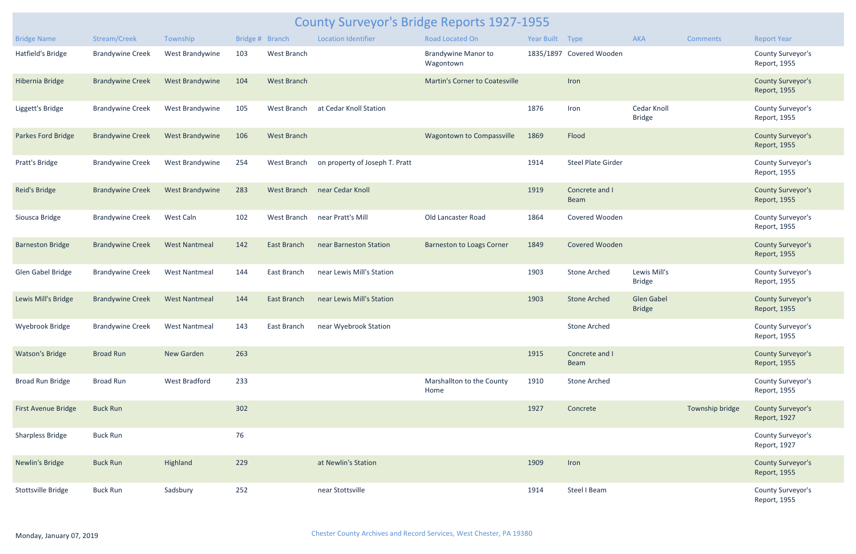| <b>County Surveyor's Bridge Reports 1927-1955</b> |                                |                        |     |                    |                                |                                         |                 |                               |                                    |                 |                                          |
|---------------------------------------------------|--------------------------------|------------------------|-----|--------------------|--------------------------------|-----------------------------------------|-----------------|-------------------------------|------------------------------------|-----------------|------------------------------------------|
| <b>Bridge Name</b>                                | Stream/Creek                   | Township               |     | Bridge # Branch    | <b>Location Identifier</b>     | Road Located On                         | Year Built Type |                               | <b>AKA</b>                         | Comments        | <b>Report Year</b>                       |
| Hatfield's Bridge                                 | <b>Brandywine Creek</b>        | West Brandywine        | 103 | West Branch        |                                | <b>Brandywine Manor to</b><br>Wagontown |                 | 1835/1897 Covered Wooden      |                                    |                 | County Surveyor's<br>Report, 1955        |
| Hibernia Bridge                                   | <b>Brandywine Creek</b>        | <b>West Brandywine</b> | 104 | <b>West Branch</b> |                                | <b>Martin's Corner to Coatesville</b>   |                 | Iron                          |                                    |                 | <b>County Surveyor's</b><br>Report, 1955 |
| Liggett's Bridge                                  | <b>Brandywine Creek</b>        | West Brandywine        | 105 | <b>West Branch</b> | at Cedar Knoll Station         |                                         | 1876            | Iron                          | Cedar Knoll<br><b>Bridge</b>       |                 | County Surveyor's<br>Report, 1955        |
| Parkes Ford Bridge                                | <b>Brandywine Creek</b>        | West Brandywine        | 106 | <b>West Branch</b> |                                | Wagontown to Compassville               | 1869            | Flood                         |                                    |                 | <b>County Surveyor's</b><br>Report, 1955 |
| Pratt's Bridge                                    | <b>Brandywine Creek</b>        | West Brandywine        | 254 | West Branch        | on property of Joseph T. Pratt |                                         | 1914            | <b>Steel Plate Girder</b>     |                                    |                 | County Surveyor's<br>Report, 1955        |
| <b>Reid's Bridge</b>                              | <b>Brandywine Creek</b>        | <b>West Brandywine</b> | 283 | <b>West Branch</b> | near Cedar Knoll               |                                         | 1919            | Concrete and I<br><b>Beam</b> |                                    |                 | <b>County Surveyor's</b><br>Report, 1955 |
| Siousca Bridge                                    | <b>Brandywine Creek</b>        | West Caln              | 102 | West Branch        | near Pratt's Mill              | Old Lancaster Road                      | 1864            | Covered Wooden                |                                    |                 | County Surveyor's<br>Report, 1955        |
| <b>Barneston Bridge</b>                           | <b>Brandywine Creek</b>        | <b>West Nantmeal</b>   | 142 | East Branch        | near Barneston Station         | <b>Barneston to Loags Corner</b>        | 1849            | Covered Wooden                |                                    |                 | <b>County Surveyor's</b><br>Report, 1955 |
| Glen Gabel Bridge                                 | <b>Brandywine Creek</b>        | <b>West Nantmeal</b>   | 144 | East Branch        | near Lewis Mill's Station      |                                         | 1903            | <b>Stone Arched</b>           | Lewis Mill's<br><b>Bridge</b>      |                 | County Surveyor's<br>Report, 1955        |
| Lewis Mill's Bridge                               | <b>Brandywine Creek</b>        | <b>West Nantmeal</b>   | 144 | East Branch        | near Lewis Mill's Station      |                                         | 1903            | <b>Stone Arched</b>           | <b>Glen Gabel</b><br><b>Bridge</b> |                 | <b>County Surveyor's</b><br>Report, 1955 |
| Wyebrook Bridge                                   | Brandywine Creek West Nantmeal |                        | 143 | East Branch        | near Wyebrook Station          |                                         |                 | <b>Stone Arched</b>           |                                    |                 | County Surveyor's<br>Report, 1955        |
| <b>Watson's Bridge</b>                            | <b>Broad Run</b>               | New Garden             | 263 |                    |                                |                                         | 1915            | Concrete and I<br>Beam        |                                    |                 | <b>County Surveyor's</b><br>Report, 1955 |
| <b>Broad Run Bridge</b>                           | Broad Run                      | <b>West Bradford</b>   | 233 |                    |                                | Marshallton to the County<br>Home       | 1910            | <b>Stone Arched</b>           |                                    |                 | County Surveyor's<br>Report, 1955        |
| First Avenue Bridge                               | <b>Buck Run</b>                |                        | 302 |                    |                                |                                         | 1927            | Concrete                      |                                    | Township bridge | <b>County Surveyor's</b><br>Report, 1927 |
| <b>Sharpless Bridge</b>                           | <b>Buck Run</b>                |                        | 76  |                    |                                |                                         |                 |                               |                                    |                 | County Surveyor's<br>Report, 1927        |
| <b>Newlin's Bridge</b>                            | <b>Buck Run</b>                | Highland               | 229 |                    | at Newlin's Station            |                                         | 1909            | Iron                          |                                    |                 | <b>County Surveyor's</b><br>Report, 1955 |
| Stottsville Bridge                                | <b>Buck Run</b>                | Sadsbury               | 252 |                    | near Stottsville               |                                         | 1914            | Steel I Beam                  |                                    |                 | County Surveyor's<br>Report, 1955        |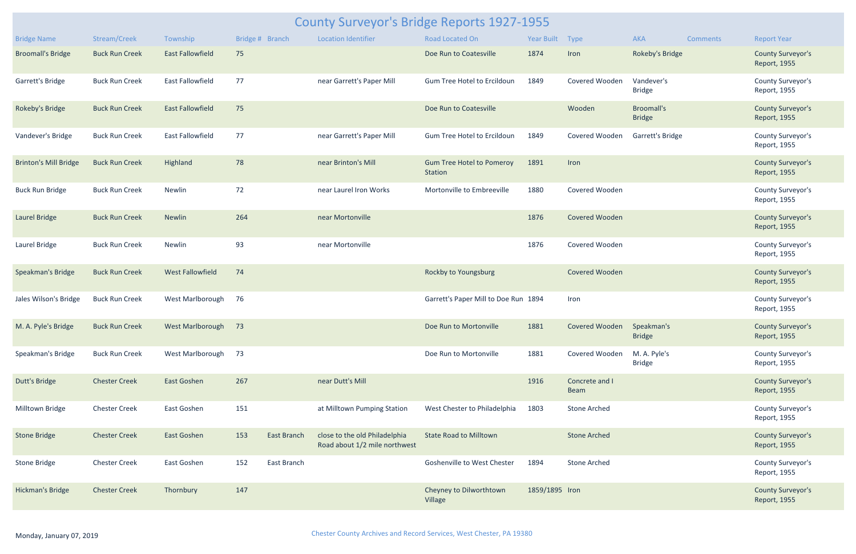| <b>County Surveyor's Bridge Reports 1927-1955</b> |                       |                         |                 |                    |                                                                |                                                    |                |                           |                                    |                 |                                                 |
|---------------------------------------------------|-----------------------|-------------------------|-----------------|--------------------|----------------------------------------------------------------|----------------------------------------------------|----------------|---------------------------|------------------------------------|-----------------|-------------------------------------------------|
| <b>Bridge Name</b>                                | Stream/Creek          | Township                | Bridge # Branch |                    | <b>Location Identifier</b>                                     | Road Located On                                    | Year Built     | Type                      | <b>AKA</b>                         | <b>Comments</b> | <b>Report Year</b>                              |
| <b>Broomall's Bridge</b>                          | <b>Buck Run Creek</b> | <b>East Fallowfield</b> | 75              |                    |                                                                | Doe Run to Coatesville                             | 1874           | Iron                      | Rokeby's Bridge                    |                 | <b>County Surveyor's</b><br>Report, 1955        |
| Garrett's Bridge                                  | <b>Buck Run Creek</b> | East Fallowfield        | 77              |                    | near Garrett's Paper Mill                                      | Gum Tree Hotel to Ercildoun                        | 1849           | Covered Wooden            | Vandever's<br><b>Bridge</b>        |                 | County Surveyor's<br>Report, 1955               |
| Rokeby's Bridge                                   | <b>Buck Run Creek</b> | <b>East Fallowfield</b> | 75              |                    |                                                                | Doe Run to Coatesville                             |                | Wooden                    | <b>Broomall's</b><br><b>Bridge</b> |                 | <b>County Surveyor's</b><br>Report, 1955        |
| Vandever's Bridge                                 | <b>Buck Run Creek</b> | <b>East Fallowfield</b> | 77              |                    | near Garrett's Paper Mill                                      | Gum Tree Hotel to Ercildoun                        | 1849           | Covered Wooden            | Garrett's Bridge                   |                 | County Surveyor's<br>Report, 1955               |
| <b>Brinton's Mill Bridge</b>                      | <b>Buck Run Creek</b> | Highland                | 78              |                    | near Brinton's Mill                                            | <b>Gum Tree Hotel to Pomeroy</b><br><b>Station</b> | 1891           | Iron                      |                                    |                 | <b>County Surveyor's</b><br>Report, 1955        |
| <b>Buck Run Bridge</b>                            | <b>Buck Run Creek</b> | Newlin                  | 72              |                    | near Laurel Iron Works                                         | Mortonville to Embreeville                         | 1880           | Covered Wooden            |                                    |                 | County Surveyor's<br>Report, 1955               |
| Laurel Bridge                                     | <b>Buck Run Creek</b> | <b>Newlin</b>           | 264             |                    | near Mortonville                                               |                                                    | 1876           | <b>Covered Wooden</b>     |                                    |                 | <b>County Surveyor's</b><br>Report, 1955        |
| Laurel Bridge                                     | <b>Buck Run Creek</b> | Newlin                  | 93              |                    | near Mortonville                                               |                                                    | 1876           | Covered Wooden            |                                    |                 | County Surveyor's<br>Report, 1955               |
| Speakman's Bridge                                 | <b>Buck Run Creek</b> | <b>West Fallowfield</b> | 74              |                    |                                                                | Rockby to Youngsburg                               |                | Covered Wooden            |                                    |                 | <b>County Surveyor's</b><br>Report, 1955        |
| Jales Wilson's Bridge                             | <b>Buck Run Creek</b> | <b>West Marlborough</b> | 76              |                    |                                                                | Garrett's Paper Mill to Doe Run 1894               |                | Iron                      |                                    |                 | County Surveyor's<br>Report, 1955               |
| M. A. Pyle's Bridge                               | <b>Buck Run Creek</b> | West Marlborough 73     |                 |                    |                                                                | Doe Run to Mortonville                             | 1881           | Covered Wooden Speakman's | <b>Bridge</b>                      |                 | <b>County Surveyor's</b><br><b>Report, 1955</b> |
| Speakman's Bridge                                 | <b>Buck Run Creek</b> | West Marlborough        | 73              |                    |                                                                | Doe Run to Mortonville                             | 1881           | Covered Wooden            | M. A. Pyle's<br><b>Bridge</b>      |                 | County Surveyor's<br>Report, 1955               |
| <b>Dutt's Bridge</b>                              | <b>Chester Creek</b>  | East Goshen             | 267             |                    | near Dutt's Mill                                               |                                                    | 1916           | Concrete and I<br>Beam    |                                    |                 | <b>County Surveyor's</b><br>Report, 1955        |
| Milltown Bridge                                   | <b>Chester Creek</b>  | East Goshen             | 151             |                    | at Milltown Pumping Station                                    | West Chester to Philadelphia                       | 1803           | <b>Stone Arched</b>       |                                    |                 | County Surveyor's<br>Report, 1955               |
| <b>Stone Bridge</b>                               | <b>Chester Creek</b>  | East Goshen             | 153             | <b>East Branch</b> | close to the old Philadelphia<br>Road about 1/2 mile northwest | <b>State Road to Milltown</b>                      |                | <b>Stone Arched</b>       |                                    |                 | <b>County Surveyor's</b><br>Report, 1955        |
| <b>Stone Bridge</b>                               | <b>Chester Creek</b>  | East Goshen             | 152             | East Branch        |                                                                | Goshenville to West Chester                        | 1894           | <b>Stone Arched</b>       |                                    |                 | County Surveyor's<br>Report, 1955               |
| Hickman's Bridge                                  | <b>Chester Creek</b>  | Thornbury               | 147             |                    |                                                                | Cheyney to Dilworthtown<br>Village                 | 1859/1895 Iron |                           |                                    |                 | <b>County Surveyor's</b><br>Report, 1955        |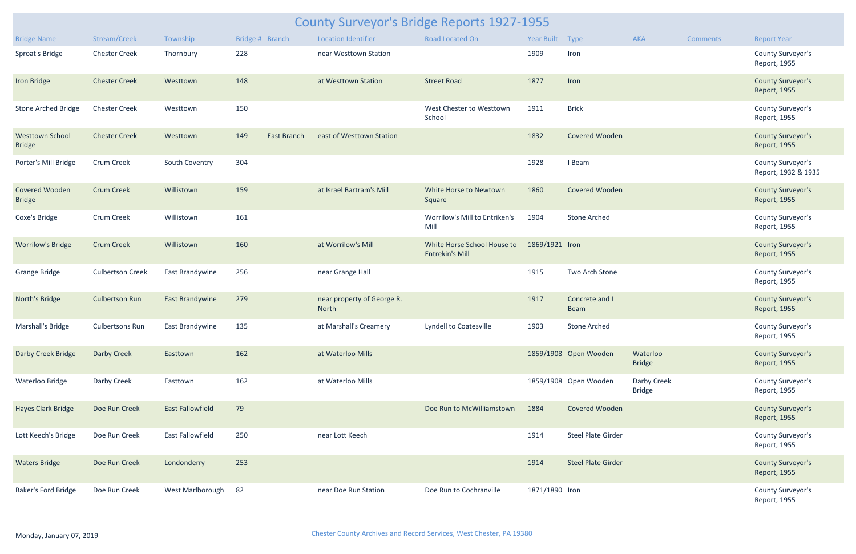| <b>County Surveyor's Bridge Reports 1927-1955</b> |                         |                         |     |                 |                                     |                                                       |                 |                               |                              |                 |                                          |
|---------------------------------------------------|-------------------------|-------------------------|-----|-----------------|-------------------------------------|-------------------------------------------------------|-----------------|-------------------------------|------------------------------|-----------------|------------------------------------------|
| <b>Bridge Name</b>                                | Stream/Creek            | Township                |     | Bridge # Branch | <b>Location Identifier</b>          | Road Located On                                       | Year Built Type |                               | <b>AKA</b>                   | <b>Comments</b> | <b>Report Year</b>                       |
| Sproat's Bridge                                   | <b>Chester Creek</b>    | Thornbury               | 228 |                 | near Westtown Station               |                                                       | 1909            | Iron                          |                              |                 | County Surveyor's<br>Report, 1955        |
| <b>Iron Bridge</b>                                | <b>Chester Creek</b>    | Westtown                | 148 |                 | at Westtown Station                 | <b>Street Road</b>                                    | 1877            | Iron                          |                              |                 | <b>County Surveyor's</b><br>Report, 1955 |
| <b>Stone Arched Bridge</b>                        | <b>Chester Creek</b>    | Westtown                | 150 |                 |                                     | West Chester to Westtown<br>School                    | 1911            | <b>Brick</b>                  |                              |                 | County Surveyor's<br>Report, 1955        |
| <b>Westtown School</b><br><b>Bridge</b>           | <b>Chester Creek</b>    | Westtown                | 149 | East Branch     | east of Westtown Station            |                                                       | 1832            | Covered Wooden                |                              |                 | <b>County Surveyor's</b><br>Report, 1955 |
| Porter's Mill Bridge                              | Crum Creek              | South Coventry          | 304 |                 |                                     |                                                       | 1928            | I Beam                        |                              |                 | County Surveyor's<br>Report, 1932 & 1935 |
| Covered Wooden<br><b>Bridge</b>                   | <b>Crum Creek</b>       | Willistown              | 159 |                 | at Israel Bartram's Mill            | White Horse to Newtown<br>Square                      | 1860            | Covered Wooden                |                              |                 | <b>County Surveyor's</b><br>Report, 1955 |
| Coxe's Bridge                                     | <b>Crum Creek</b>       | Willistown              | 161 |                 |                                     | Worrilow's Mill to Entriken's<br>Mill                 | 1904            | <b>Stone Arched</b>           |                              |                 | County Surveyor's<br>Report, 1955        |
| <b>Worrilow's Bridge</b>                          | <b>Crum Creek</b>       | Willistown              | 160 |                 | at Worrilow's Mill                  | White Horse School House to<br><b>Entrekin's Mill</b> | 1869/1921 Iron  |                               |                              |                 | <b>County Surveyor's</b><br>Report, 1955 |
| <b>Grange Bridge</b>                              | <b>Culbertson Creek</b> | East Brandywine         | 256 |                 | near Grange Hall                    |                                                       | 1915            | Two Arch Stone                |                              |                 | County Surveyor's<br>Report, 1955        |
| North's Bridge                                    | <b>Culbertson Run</b>   | <b>East Brandywine</b>  | 279 |                 | near property of George R.<br>North |                                                       | 1917            | Concrete and I<br><b>Beam</b> |                              |                 | <b>County Surveyor's</b><br>Report, 1955 |
| Marshall's Bridge                                 | <b>Culbertsons Run</b>  | East Brandywine         | 135 |                 | at Marshall's Creamery              | Lyndell to Coatesville                                | 1903            | Stone Arched                  |                              |                 | County Surveyor's<br>Report, 1955        |
| Darby Creek Bridge                                | <b>Darby Creek</b>      | Easttown                | 162 |                 | at Waterloo Mills                   |                                                       |                 | 1859/1908 Open Wooden         | Waterloo<br><b>Bridge</b>    |                 | <b>County Surveyor's</b><br>Report, 1955 |
| Waterloo Bridge                                   | Darby Creek             | Easttown                | 162 |                 | at Waterloo Mills                   |                                                       |                 | 1859/1908 Open Wooden         | Darby Creek<br><b>Bridge</b> |                 | County Surveyor's<br>Report, 1955        |
| <b>Hayes Clark Bridge</b>                         | Doe Run Creek           | <b>East Fallowfield</b> | 79  |                 |                                     | Doe Run to McWilliamstown                             | 1884            | Covered Wooden                |                              |                 | <b>County Surveyor's</b><br>Report, 1955 |
| Lott Keech's Bridge                               | Doe Run Creek           | East Fallowfield        | 250 |                 | near Lott Keech                     |                                                       | 1914            | Steel Plate Girder            |                              |                 | County Surveyor's<br>Report, 1955        |
| <b>Waters Bridge</b>                              | Doe Run Creek           | Londonderry             | 253 |                 |                                     |                                                       | 1914            | <b>Steel Plate Girder</b>     |                              |                 | <b>County Surveyor's</b><br>Report, 1955 |
| Baker's Ford Bridge                               | Doe Run Creek           | West Marlborough        | 82  |                 | near Doe Run Station                | Doe Run to Cochranville                               | 1871/1890 Iron  |                               |                              |                 | County Surveyor's<br>Report, 1955        |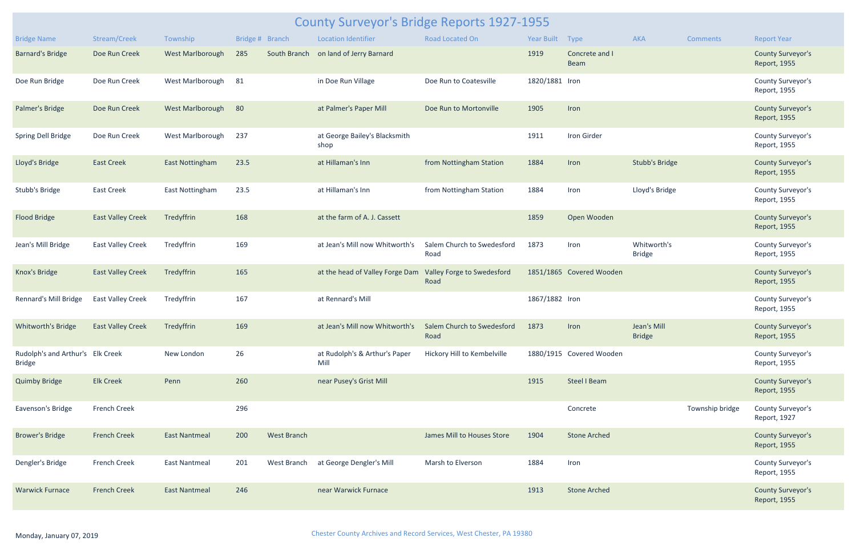|                                                   | <b>County Surveyor's Bridge Reports 1927-1955</b> |                         |                 |                    |                                                            |                                    |                 |                               |                              |                 |                                          |  |  |
|---------------------------------------------------|---------------------------------------------------|-------------------------|-----------------|--------------------|------------------------------------------------------------|------------------------------------|-----------------|-------------------------------|------------------------------|-----------------|------------------------------------------|--|--|
| <b>Bridge Name</b>                                | Stream/Creek                                      | Township                | Bridge # Branch |                    | <b>Location Identifier</b>                                 | <b>Road Located On</b>             | Year Built Type |                               | <b>AKA</b>                   | <b>Comments</b> | <b>Report Year</b>                       |  |  |
| <b>Barnard's Bridge</b>                           | Doe Run Creek                                     | <b>West Marlborough</b> | 285             | South Branch       | on land of Jerry Barnard                                   |                                    | 1919            | Concrete and I<br><b>Beam</b> |                              |                 | <b>County Surveyor's</b><br>Report, 1955 |  |  |
| Doe Run Bridge                                    | Doe Run Creek                                     | West Marlborough        | 81              |                    | in Doe Run Village                                         | Doe Run to Coatesville             | 1820/1881 Iron  |                               |                              |                 | County Surveyor's<br>Report, 1955        |  |  |
| Palmer's Bridge                                   | Doe Run Creek                                     | West Marlborough        | 80              |                    | at Palmer's Paper Mill                                     | Doe Run to Mortonville             | 1905            | Iron                          |                              |                 | <b>County Surveyor's</b><br>Report, 1955 |  |  |
| Spring Dell Bridge                                | Doe Run Creek                                     | West Marlborough        | 237             |                    | at George Bailey's Blacksmith<br>shop                      |                                    | 1911            | Iron Girder                   |                              |                 | County Surveyor's<br>Report, 1955        |  |  |
| Lloyd's Bridge                                    | <b>East Creek</b>                                 | <b>East Nottingham</b>  | 23.5            |                    | at Hillaman's Inn                                          | from Nottingham Station            | 1884            | Iron                          | <b>Stubb's Bridge</b>        |                 | <b>County Surveyor's</b><br>Report, 1955 |  |  |
| Stubb's Bridge                                    | <b>East Creek</b>                                 | <b>East Nottingham</b>  | 23.5            |                    | at Hillaman's Inn                                          | from Nottingham Station            | 1884            | Iron                          | Lloyd's Bridge               |                 | County Surveyor's<br>Report, 1955        |  |  |
| <b>Flood Bridge</b>                               | <b>East Valley Creek</b>                          | Tredyffrin              | 168             |                    | at the farm of A. J. Cassett                               |                                    | 1859            | Open Wooden                   |                              |                 | <b>County Surveyor's</b><br>Report, 1955 |  |  |
| Jean's Mill Bridge                                | <b>East Valley Creek</b>                          | Tredyffrin              | 169             |                    | at Jean's Mill now Whitworth's                             | Salem Church to Swedesford<br>Road | 1873            | Iron                          | Whitworth's<br><b>Bridge</b> |                 | County Surveyor's<br>Report, 1955        |  |  |
| Knox's Bridge                                     | <b>East Valley Creek</b>                          | Tredyffrin              | 165             |                    | at the head of Valley Forge Dam Valley Forge to Swedesford | Road                               |                 | 1851/1865 Covered Wooden      |                              |                 | <b>County Surveyor's</b><br>Report, 1955 |  |  |
| Rennard's Mill Bridge                             | <b>East Valley Creek</b>                          | Tredyffrin              | 167             |                    | at Rennard's Mill                                          |                                    | 1867/1882 Iron  |                               |                              |                 | County Surveyor's<br>Report, 1955        |  |  |
| <b>Whitworth's Bridge</b>                         | <b>East Valley Creek</b>                          | Tredyffrin              | 169             |                    | at Jean's Mill now Whitworth's                             | Salem Church to Swedesford<br>Road | 1873            | Iron                          | Jean's Mill<br><b>Bridge</b> |                 | <b>County Surveyor's</b><br>Report, 1955 |  |  |
| Rudolph's and Arthur's Elk Creek<br><b>Bridge</b> |                                                   | New London              | 26              |                    | at Rudolph's & Arthur's Paper<br>Mill                      | Hickory Hill to Kembelville        |                 | 1880/1915 Covered Wooden      |                              |                 | County Surveyor's<br>Report, 1955        |  |  |
| <b>Quimby Bridge</b>                              | <b>Elk Creek</b>                                  | Penn                    | 260             |                    | near Pusey's Grist Mill                                    |                                    | 1915            | <b>Steel I Beam</b>           |                              |                 | <b>County Surveyor's</b><br>Report, 1955 |  |  |
| Eavenson's Bridge                                 | <b>French Creek</b>                               |                         | 296             |                    |                                                            |                                    |                 | Concrete                      |                              | Township bridge | County Surveyor's<br>Report, 1927        |  |  |
| <b>Brower's Bridge</b>                            | <b>French Creek</b>                               | <b>East Nantmeal</b>    | 200             | <b>West Branch</b> |                                                            | James Mill to Houses Store         | 1904            | <b>Stone Arched</b>           |                              |                 | <b>County Surveyor's</b><br>Report, 1955 |  |  |
| Dengler's Bridge                                  | French Creek                                      | <b>East Nantmeal</b>    | 201             | West Branch        | at George Dengler's Mill                                   | Marsh to Elverson                  | 1884            | Iron                          |                              |                 | County Surveyor's<br>Report, 1955        |  |  |
| <b>Warwick Furnace</b>                            | <b>French Creek</b>                               | <b>East Nantmeal</b>    | 246             |                    | near Warwick Furnace                                       |                                    | 1913            | <b>Stone Arched</b>           |                              |                 | <b>County Surveyor's</b><br>Report, 1955 |  |  |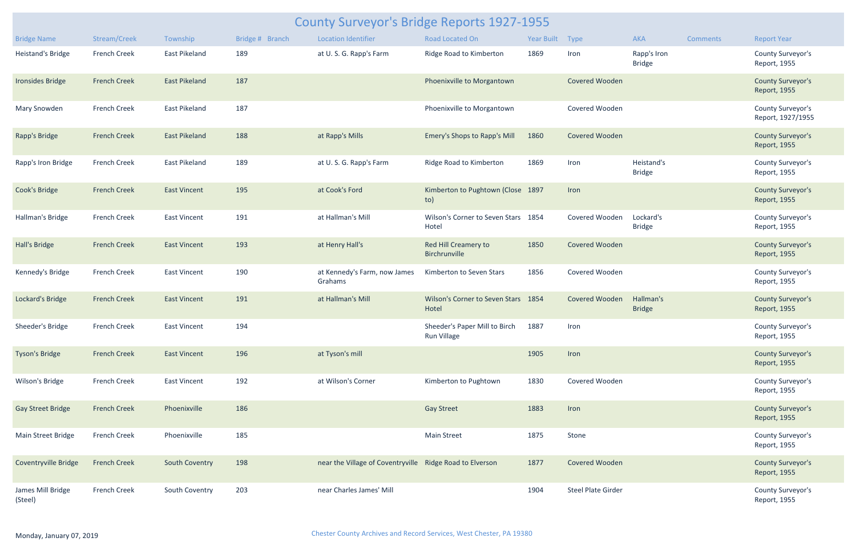| <b>County Surveyor's Bridge Reports 1927-1955</b> |                     |                       |                 |                                                          |                                              |                 |                           |                              |          |                                          |  |  |
|---------------------------------------------------|---------------------|-----------------------|-----------------|----------------------------------------------------------|----------------------------------------------|-----------------|---------------------------|------------------------------|----------|------------------------------------------|--|--|
| <b>Bridge Name</b>                                | Stream/Creek        | Township              | Bridge # Branch | <b>Location Identifier</b>                               | Road Located On                              | Year Built Type |                           | AKA                          | Comments | <b>Report Year</b>                       |  |  |
| Heistand's Bridge                                 | <b>French Creek</b> | <b>East Pikeland</b>  | 189             | at U.S.G. Rapp's Farm                                    | Ridge Road to Kimberton                      | 1869            | Iron                      | Rapp's Iron<br><b>Bridge</b> |          | County Surveyor's<br>Report, 1955        |  |  |
| <b>Ironsides Bridge</b>                           | <b>French Creek</b> | <b>East Pikeland</b>  | 187             |                                                          | Phoenixville to Morgantown                   |                 | Covered Wooden            |                              |          | <b>County Surveyor's</b><br>Report, 1955 |  |  |
| Mary Snowden                                      | <b>French Creek</b> | <b>East Pikeland</b>  | 187             |                                                          | Phoenixville to Morgantown                   |                 | Covered Wooden            |                              |          | County Surveyor's<br>Report, 1927/1955   |  |  |
| Rapp's Bridge                                     | <b>French Creek</b> | <b>East Pikeland</b>  | 188             | at Rapp's Mills                                          | Emery's Shops to Rapp's Mill                 | 1860            | Covered Wooden            |                              |          | <b>County Surveyor's</b><br>Report, 1955 |  |  |
| Rapp's Iron Bridge                                | <b>French Creek</b> | <b>East Pikeland</b>  | 189             | at U.S.G. Rapp's Farm                                    | Ridge Road to Kimberton                      | 1869            | Iron                      | Heistand's<br><b>Bridge</b>  |          | County Surveyor's<br>Report, 1955        |  |  |
| Cook's Bridge                                     | <b>French Creek</b> | <b>East Vincent</b>   | 195             | at Cook's Ford                                           | Kimberton to Pughtown (Close 1897<br>to)     |                 | Iron                      |                              |          | <b>County Surveyor's</b><br>Report, 1955 |  |  |
| Hallman's Bridge                                  | <b>French Creek</b> | <b>East Vincent</b>   | 191             | at Hallman's Mill                                        | Wilson's Corner to Seven Stars<br>Hotel      | 1854            | Covered Wooden            | Lockard's<br><b>Bridge</b>   |          | County Surveyor's<br>Report, 1955        |  |  |
| Hall's Bridge                                     | <b>French Creek</b> | <b>East Vincent</b>   | 193             | at Henry Hall's                                          | Red Hill Creamery to<br>Birchrunville        | 1850            | Covered Wooden            |                              |          | <b>County Surveyor's</b><br>Report, 1955 |  |  |
| Kennedy's Bridge                                  | <b>French Creek</b> | <b>East Vincent</b>   | 190             | at Kennedy's Farm, now James<br>Grahams                  | Kimberton to Seven Stars                     | 1856            | Covered Wooden            |                              |          | County Surveyor's<br>Report, 1955        |  |  |
| Lockard's Bridge                                  | <b>French Creek</b> | <b>East Vincent</b>   | 191             | at Hallman's Mill                                        | Wilson's Corner to Seven Stars<br>Hotel      | 1854            | Covered Wooden            | Hallman's<br><b>Bridge</b>   |          | <b>County Surveyor's</b><br>Report, 1955 |  |  |
| Sheeder's Bridge                                  | French Creek        | <b>East Vincent</b>   | 194             |                                                          | Sheeder's Paper Mill to Birch<br>Run Village | 1887            | Iron                      |                              |          | <b>County Surveyor's</b><br>Report, 1955 |  |  |
| <b>Tyson's Bridge</b>                             | <b>French Creek</b> | <b>East Vincent</b>   | 196             | at Tyson's mill                                          |                                              | 1905            | Iron                      |                              |          | <b>County Surveyor's</b><br>Report, 1955 |  |  |
| Wilson's Bridge                                   | French Creek        | <b>East Vincent</b>   | 192             | at Wilson's Corner                                       | Kimberton to Pughtown                        | 1830            | Covered Wooden            |                              |          | County Surveyor's<br>Report, 1955        |  |  |
| <b>Gay Street Bridge</b>                          | <b>French Creek</b> | Phoenixville          | 186             |                                                          | <b>Gay Street</b>                            | 1883            | Iron                      |                              |          | <b>County Surveyor's</b><br>Report, 1955 |  |  |
| Main Street Bridge                                | French Creek        | Phoenixville          | 185             |                                                          | <b>Main Street</b>                           | 1875            | Stone                     |                              |          | County Surveyor's<br>Report, 1955        |  |  |
| Coventryville Bridge                              | <b>French Creek</b> | <b>South Coventry</b> | 198             | near the Village of Coventryville Ridge Road to Elverson |                                              | 1877            | Covered Wooden            |                              |          | <b>County Surveyor's</b><br>Report, 1955 |  |  |
| James Mill Bridge<br>(Steel)                      | <b>French Creek</b> | South Coventry        | 203             | near Charles James' Mill                                 |                                              | 1904            | <b>Steel Plate Girder</b> |                              |          | County Surveyor's<br>Report, 1955        |  |  |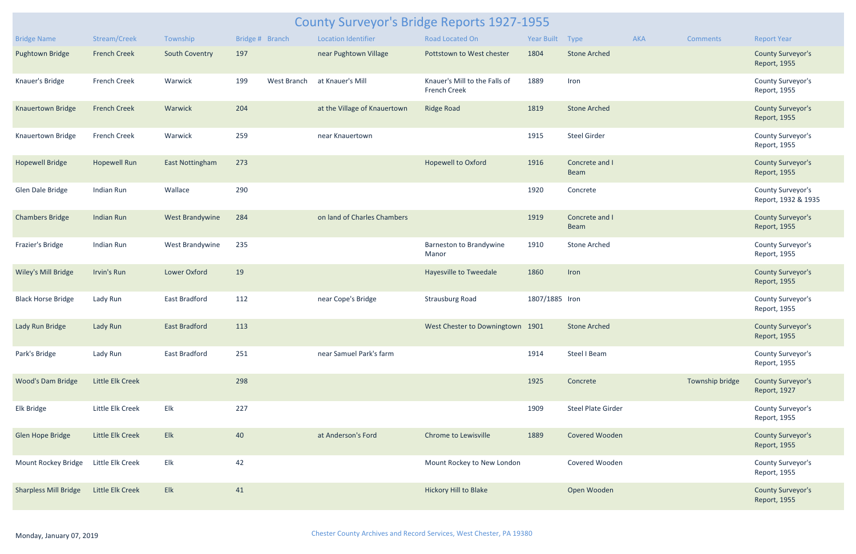| <b>County Surveyor's Bridge Reports 1927-1955</b> |                     |                        |                 |             |                              |                                                      |                |                               |            |                 |                                          |
|---------------------------------------------------|---------------------|------------------------|-----------------|-------------|------------------------------|------------------------------------------------------|----------------|-------------------------------|------------|-----------------|------------------------------------------|
| <b>Bridge Name</b>                                | Stream/Creek        | Township               | Bridge # Branch |             | <b>Location Identifier</b>   | <b>Road Located On</b>                               | Year Built     | Type                          | <b>AKA</b> | <b>Comments</b> | <b>Report Year</b>                       |
| Pughtown Bridge                                   | <b>French Creek</b> | South Coventry         | 197             |             | near Pughtown Village        | Pottstown to West chester                            | 1804           | <b>Stone Arched</b>           |            |                 | <b>County Surveyor's</b><br>Report, 1955 |
| Knauer's Bridge                                   | French Creek        | Warwick                | 199             | West Branch | at Knauer's Mill             | Knauer's Mill to the Falls of<br><b>French Creek</b> | 1889           | Iron                          |            |                 | County Surveyor's<br>Report, 1955        |
| <b>Knauertown Bridge</b>                          | <b>French Creek</b> | Warwick                | 204             |             | at the Village of Knauertown | <b>Ridge Road</b>                                    | 1819           | <b>Stone Arched</b>           |            |                 | <b>County Surveyor's</b><br>Report, 1955 |
| Knauertown Bridge                                 | French Creek        | Warwick                | 259             |             | near Knauertown              |                                                      | 1915           | <b>Steel Girder</b>           |            |                 | County Surveyor's<br>Report, 1955        |
| <b>Hopewell Bridge</b>                            | <b>Hopewell Run</b> | <b>East Nottingham</b> | 273             |             |                              | <b>Hopewell to Oxford</b>                            | 1916           | Concrete and I<br><b>Beam</b> |            |                 | <b>County Surveyor's</b><br>Report, 1955 |
| Glen Dale Bridge                                  | Indian Run          | Wallace                | 290             |             |                              |                                                      | 1920           | Concrete                      |            |                 | County Surveyor's<br>Report, 1932 & 1935 |
| <b>Chambers Bridge</b>                            | <b>Indian Run</b>   | West Brandywine        | 284             |             | on land of Charles Chambers  |                                                      | 1919           | Concrete and I<br><b>Beam</b> |            |                 | <b>County Surveyor's</b><br>Report, 1955 |
| Frazier's Bridge                                  | Indian Run          | West Brandywine        | 235             |             |                              | Barneston to Brandywine<br>Manor                     | 1910           | <b>Stone Arched</b>           |            |                 | County Surveyor's<br>Report, 1955        |
| Wiley's Mill Bridge                               | Irvin's Run         | Lower Oxford           | 19              |             |                              | Hayesville to Tweedale                               | 1860           | Iron                          |            |                 | <b>County Surveyor's</b><br>Report, 1955 |
| <b>Black Horse Bridge</b>                         | Lady Run            | East Bradford          | 112             |             | near Cope's Bridge           | <b>Strausburg Road</b>                               | 1807/1885 Iron |                               |            |                 | County Surveyor's<br>Report, 1955        |
| Lady Run Bridge                                   | Lady Run            | <b>East Bradford</b>   | 113             |             |                              | West Chester to Downingtown 1901                     |                | <b>Stone Arched</b>           |            |                 | <b>County Surveyor's</b><br>Report, 1955 |
| Park's Bridge                                     | Lady Run            | <b>East Bradford</b>   | 251             |             | near Samuel Park's farm      |                                                      | 1914           | Steel I Beam                  |            |                 | County Surveyor's<br>Report, 1955        |
| <b>Wood's Dam Bridge</b>                          | Little Elk Creek    |                        | 298             |             |                              |                                                      | 1925           | Concrete                      |            | Township bridge | <b>County Surveyor's</b><br>Report, 1927 |
| Elk Bridge                                        | Little Elk Creek    | Elk                    | 227             |             |                              |                                                      | 1909           | <b>Steel Plate Girder</b>     |            |                 | County Surveyor's<br>Report, 1955        |
| Glen Hope Bridge                                  | Little Elk Creek    | Elk                    | 40              |             | at Anderson's Ford           | <b>Chrome to Lewisville</b>                          | 1889           | Covered Wooden                |            |                 | <b>County Surveyor's</b><br>Report, 1955 |
| Mount Rockey Bridge                               | Little Elk Creek    | Elk                    | 42              |             |                              | Mount Rockey to New London                           |                | Covered Wooden                |            |                 | County Surveyor's<br>Report, 1955        |
| <b>Sharpless Mill Bridge</b>                      | Little Elk Creek    | Elk                    | 41              |             |                              | Hickory Hill to Blake                                |                | Open Wooden                   |            |                 | <b>County Surveyor's</b><br>Report, 1955 |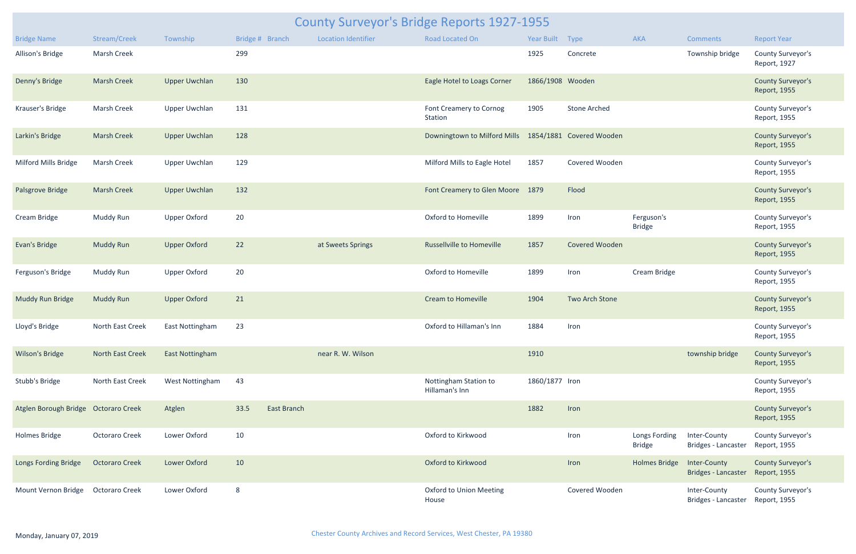| <b>County Surveyor's Bridge Reports 1927-1955</b> |                       |                        |                 |                    |                            |                                                       |                  |                     |                                |                                     |                                          |  |
|---------------------------------------------------|-----------------------|------------------------|-----------------|--------------------|----------------------------|-------------------------------------------------------|------------------|---------------------|--------------------------------|-------------------------------------|------------------------------------------|--|
| <b>Bridge Name</b>                                | Stream/Creek          | Township               | Bridge # Branch |                    | <b>Location Identifier</b> | Road Located On                                       | Year Built Type  |                     | AKA                            | <b>Comments</b>                     | <b>Report Year</b>                       |  |
| Allison's Bridge                                  | Marsh Creek           |                        | 299             |                    |                            |                                                       | 1925             | Concrete            |                                | Township bridge                     | County Surveyor's<br>Report, 1927        |  |
| Denny's Bridge                                    | <b>Marsh Creek</b>    | <b>Upper Uwchlan</b>   | 130             |                    |                            | Eagle Hotel to Loags Corner                           | 1866/1908 Wooden |                     |                                |                                     | <b>County Surveyor's</b><br>Report, 1955 |  |
| Krauser's Bridge                                  | Marsh Creek           | <b>Upper Uwchlan</b>   | 131             |                    |                            | Font Creamery to Cornog<br>Station                    | 1905             | <b>Stone Arched</b> |                                |                                     | County Surveyor's<br>Report, 1955        |  |
| Larkin's Bridge                                   | <b>Marsh Creek</b>    | <b>Upper Uwchlan</b>   | 128             |                    |                            | Downingtown to Milford Mills 1854/1881 Covered Wooden |                  |                     |                                |                                     | <b>County Surveyor's</b><br>Report, 1955 |  |
| Milford Mills Bridge                              | Marsh Creek           | <b>Upper Uwchlan</b>   | 129             |                    |                            | Milford Mills to Eagle Hotel                          | 1857             | Covered Wooden      |                                |                                     | County Surveyor's<br>Report, 1955        |  |
| Palsgrove Bridge                                  | <b>Marsh Creek</b>    | <b>Upper Uwchlan</b>   | 132             |                    |                            | Font Creamery to Glen Moore 1879                      |                  | Flood               |                                |                                     | <b>County Surveyor's</b><br>Report, 1955 |  |
| Cream Bridge                                      | Muddy Run             | <b>Upper Oxford</b>    | 20              |                    |                            | Oxford to Homeville                                   | 1899             | Iron                | Ferguson's<br><b>Bridge</b>    |                                     | County Surveyor's<br>Report, 1955        |  |
| Evan's Bridge                                     | <b>Muddy Run</b>      | <b>Upper Oxford</b>    | 22              |                    | at Sweets Springs          | <b>Russellville to Homeville</b>                      | 1857             | Covered Wooden      |                                |                                     | <b>County Surveyor's</b><br>Report, 1955 |  |
| Ferguson's Bridge                                 | Muddy Run             | <b>Upper Oxford</b>    | 20              |                    |                            | Oxford to Homeville                                   | 1899             | Iron                | Cream Bridge                   |                                     | County Surveyor's<br>Report, 1955        |  |
| Muddy Run Bridge                                  | <b>Muddy Run</b>      | <b>Upper Oxford</b>    | 21              |                    |                            | <b>Cream to Homeville</b>                             | 1904             | Two Arch Stone      |                                |                                     | <b>County Surveyor's</b><br>Report, 1955 |  |
| Lloyd's Bridge                                    | North East Creek      | <b>East Nottingham</b> | 23              |                    |                            | Oxford to Hillaman's Inn                              | 1884             | Iron                |                                |                                     | <b>County Surveyor's</b><br>Report, 1955 |  |
| <b>Wilson's Bridge</b>                            | North East Creek      | <b>East Nottingham</b> |                 |                    | near R. W. Wilson          |                                                       | 1910             |                     |                                | township bridge                     | <b>County Surveyor's</b><br>Report, 1955 |  |
| Stubb's Bridge                                    | North East Creek      | West Nottingham        | 43              |                    |                            | Nottingham Station to<br>Hillaman's Inn               | 1860/1877 Iron   |                     |                                |                                     | County Surveyor's<br>Report, 1955        |  |
| Atglen Borough Bridge Octoraro Creek              |                       | Atglen                 | 33.5            | <b>East Branch</b> |                            |                                                       | 1882             | Iron                |                                |                                     | <b>County Surveyor's</b><br>Report, 1955 |  |
| <b>Holmes Bridge</b>                              | <b>Octoraro Creek</b> | Lower Oxford           | 10              |                    |                            | Oxford to Kirkwood                                    |                  | Iron                | Longs Fording<br><b>Bridge</b> | Inter-County<br>Bridges - Lancaster | County Surveyor's<br>Report, 1955        |  |
| Longs Fording Bridge                              | <b>Octoraro Creek</b> | Lower Oxford           | 10              |                    |                            | Oxford to Kirkwood                                    |                  | Iron                | <b>Holmes Bridge</b>           | Inter-County<br>Bridges - Lancaster | <b>County Surveyor's</b><br>Report, 1955 |  |
| Mount Vernon Bridge                               | <b>Octoraro Creek</b> | Lower Oxford           | 8               |                    |                            | <b>Oxford to Union Meeting</b><br>House               |                  | Covered Wooden      |                                | Inter-County<br>Bridges - Lancaster | County Surveyor's<br>Report, 1955        |  |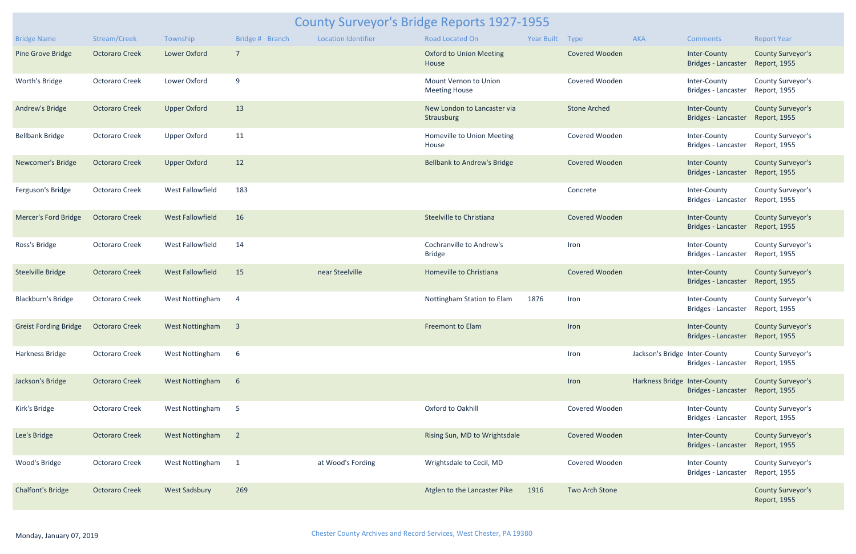| <b>County Surveyor's Bridge Reports 1927-1955</b> |                       |                         |                 |                            |                                                  |                 |                       |                               |                                                  |                                          |  |  |
|---------------------------------------------------|-----------------------|-------------------------|-----------------|----------------------------|--------------------------------------------------|-----------------|-----------------------|-------------------------------|--------------------------------------------------|------------------------------------------|--|--|
| <b>Bridge Name</b>                                | Stream/Creek          | Township                | Bridge # Branch | <b>Location Identifier</b> | Road Located On                                  | Year Built Type |                       | AKA                           | <b>Comments</b>                                  | <b>Report Year</b>                       |  |  |
| <b>Pine Grove Bridge</b>                          | <b>Octoraro Creek</b> | Lower Oxford            | $\overline{7}$  |                            | <b>Oxford to Union Meeting</b><br>House          |                 | Covered Wooden        |                               | Inter-County<br>Bridges - Lancaster              | <b>County Surveyor's</b><br>Report, 1955 |  |  |
| Worth's Bridge                                    | <b>Octoraro Creek</b> | Lower Oxford            | 9               |                            | Mount Vernon to Union<br><b>Meeting House</b>    |                 | Covered Wooden        |                               | Inter-County<br>Bridges - Lancaster              | County Surveyor's<br>Report, 1955        |  |  |
| Andrew's Bridge                                   | <b>Octoraro Creek</b> | <b>Upper Oxford</b>     | 13              |                            | New London to Lancaster via<br>Strausburg        |                 | <b>Stone Arched</b>   |                               | Inter-County<br>Bridges - Lancaster              | <b>County Surveyor's</b><br>Report, 1955 |  |  |
| <b>Bellbank Bridge</b>                            | <b>Octoraro Creek</b> | <b>Upper Oxford</b>     | 11              |                            | Homeville to Union Meeting<br>House              |                 | Covered Wooden        |                               | Inter-County<br>Bridges - Lancaster              | <b>County Surveyor's</b><br>Report, 1955 |  |  |
| Newcomer's Bridge                                 | <b>Octoraro Creek</b> | <b>Upper Oxford</b>     | 12              |                            | <b>Bellbank to Andrew's Bridge</b>               |                 | Covered Wooden        |                               | Inter-County<br>Bridges - Lancaster              | <b>County Surveyor's</b><br>Report, 1955 |  |  |
| Ferguson's Bridge                                 | <b>Octoraro Creek</b> | <b>West Fallowfield</b> | 183             |                            |                                                  |                 | Concrete              |                               | Inter-County<br>Bridges - Lancaster              | County Surveyor's<br>Report, 1955        |  |  |
| Mercer's Ford Bridge                              | <b>Octoraro Creek</b> | <b>West Fallowfield</b> | 16              |                            | Steelville to Christiana                         |                 | <b>Covered Wooden</b> |                               | Inter-County<br>Bridges - Lancaster              | <b>County Surveyor's</b><br>Report, 1955 |  |  |
| Ross's Bridge                                     | <b>Octoraro Creek</b> | West Fallowfield        | 14              |                            | <b>Cochranville to Andrew's</b><br><b>Bridge</b> |                 | Iron                  |                               | Inter-County<br>Bridges - Lancaster              | County Surveyor's<br>Report, 1955        |  |  |
| <b>Steelville Bridge</b>                          | <b>Octoraro Creek</b> | <b>West Fallowfield</b> | 15              | near Steelville            | Homeville to Christiana                          |                 | <b>Covered Wooden</b> |                               | Inter-County<br><b>Bridges - Lancaster</b>       | <b>County Surveyor's</b><br>Report, 1955 |  |  |
| <b>Blackburn's Bridge</b>                         | <b>Octoraro Creek</b> | West Nottingham         | $\overline{4}$  |                            | Nottingham Station to Elam                       | 1876            | Iron                  |                               | Inter-County<br>Bridges - Lancaster              | <b>County Surveyor's</b><br>Report, 1955 |  |  |
| <b>Greist Fording Bridge</b>                      | <b>Octoraro Creek</b> | West Nottingham 3       |                 |                            | Freemont to Elam                                 |                 | Iron                  |                               | Inter-County<br>Bridges - Lancaster Report, 1955 | <b>County Surveyor's</b>                 |  |  |
| Harkness Bridge                                   | <b>Octoraro Creek</b> | West Nottingham         | 6               |                            |                                                  |                 | Iron                  | Jackson's Bridge Inter-County | Bridges - Lancaster                              | County Surveyor's<br>Report, 1955        |  |  |
| Jackson's Bridge                                  | <b>Octoraro Creek</b> | West Nottingham         | 6               |                            |                                                  |                 | Iron                  | Harkness Bridge Inter-County  | <b>Bridges - Lancaster</b>                       | <b>County Surveyor's</b><br>Report, 1955 |  |  |
| Kirk's Bridge                                     | <b>Octoraro Creek</b> | West Nottingham         | 5               |                            | Oxford to Oakhill                                |                 | Covered Wooden        |                               | Inter-County<br>Bridges - Lancaster              | County Surveyor's<br>Report, 1955        |  |  |
| Lee's Bridge                                      | <b>Octoraro Creek</b> | West Nottingham 2       |                 |                            | Rising Sun, MD to Wrightsdale                    |                 | Covered Wooden        |                               | Inter-County<br><b>Bridges - Lancaster</b>       | <b>County Surveyor's</b><br>Report, 1955 |  |  |
| Wood's Bridge                                     | <b>Octoraro Creek</b> | West Nottingham 1       |                 | at Wood's Fording          | Wrightsdale to Cecil, MD                         |                 | Covered Wooden        |                               | Inter-County<br>Bridges - Lancaster              | County Surveyor's<br>Report, 1955        |  |  |
| <b>Chalfont's Bridge</b>                          | <b>Octoraro Creek</b> | <b>West Sadsbury</b>    | 269             |                            | Atglen to the Lancaster Pike                     | 1916            | Two Arch Stone        |                               |                                                  | <b>County Surveyor's</b><br>Report, 1955 |  |  |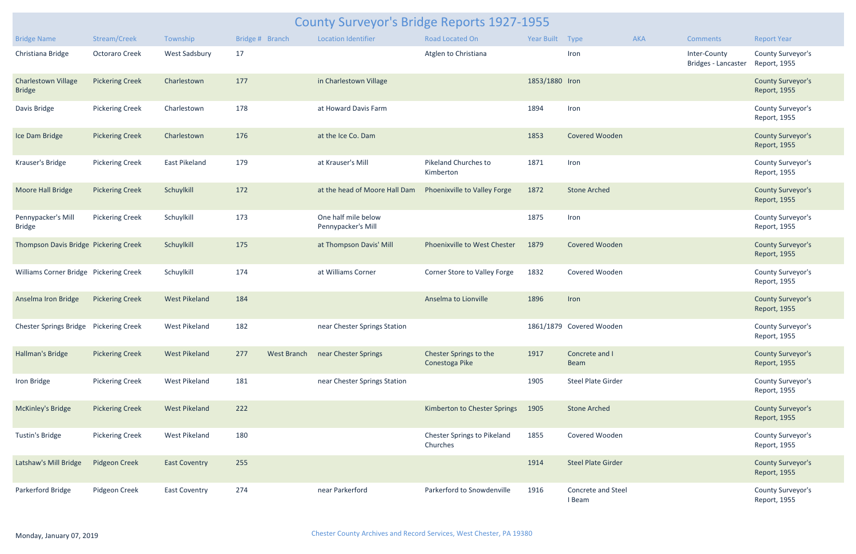| <b>County Surveyor's Bridge Reports 1927-1955</b> |                        |                      |                 |                                           |  |                                          |                 |                               |            |                                     |                                          |  |
|---------------------------------------------------|------------------------|----------------------|-----------------|-------------------------------------------|--|------------------------------------------|-----------------|-------------------------------|------------|-------------------------------------|------------------------------------------|--|
| <b>Bridge Name</b>                                | Stream/Creek           | Township             | Bridge # Branch | <b>Location Identifier</b>                |  | <b>Road Located On</b>                   | Year Built Type |                               | <b>AKA</b> | <b>Comments</b>                     | <b>Report Year</b>                       |  |
| Christiana Bridge                                 | Octoraro Creek         | West Sadsbury        | 17              |                                           |  | Atglen to Christiana                     |                 | Iron                          |            | Inter-County<br>Bridges - Lancaster | County Surveyor's<br>Report, 1955        |  |
| <b>Charlestown Village</b><br><b>Bridge</b>       | <b>Pickering Creek</b> | Charlestown          | 177             | in Charlestown Village                    |  |                                          | 1853/1880 Iron  |                               |            |                                     | <b>County Surveyor's</b><br>Report, 1955 |  |
| Davis Bridge                                      | <b>Pickering Creek</b> | Charlestown          | 178             | at Howard Davis Farm                      |  |                                          | 1894            | Iron                          |            |                                     | County Surveyor's<br>Report, 1955        |  |
| Ice Dam Bridge                                    | <b>Pickering Creek</b> | Charlestown          | 176             | at the Ice Co. Dam                        |  |                                          | 1853            | <b>Covered Wooden</b>         |            |                                     | <b>County Surveyor's</b><br>Report, 1955 |  |
| Krauser's Bridge                                  | <b>Pickering Creek</b> | East Pikeland        | 179             | at Krauser's Mill                         |  | Pikeland Churches to<br>Kimberton        | 1871            | Iron                          |            |                                     | County Surveyor's<br>Report, 1955        |  |
| Moore Hall Bridge                                 | <b>Pickering Creek</b> | Schuylkill           | 172             | at the head of Moore Hall Dam             |  | Phoenixville to Valley Forge             | 1872            | <b>Stone Arched</b>           |            |                                     | <b>County Surveyor's</b><br>Report, 1955 |  |
| Pennypacker's Mill<br><b>Bridge</b>               | <b>Pickering Creek</b> | Schuylkill           | 173             | One half mile below<br>Pennypacker's Mill |  |                                          | 1875            | Iron                          |            |                                     | County Surveyor's<br>Report, 1955        |  |
| Thompson Davis Bridge Pickering Creek             |                        | Schuylkill           | 175             | at Thompson Davis' Mill                   |  | Phoenixville to West Chester             | 1879            | <b>Covered Wooden</b>         |            |                                     | <b>County Surveyor's</b><br>Report, 1955 |  |
| Williams Corner Bridge Pickering Creek            |                        | Schuylkill           | 174             | at Williams Corner                        |  | Corner Store to Valley Forge             | 1832            | Covered Wooden                |            |                                     | County Surveyor's<br>Report, 1955        |  |
| Anselma Iron Bridge                               | <b>Pickering Creek</b> | <b>West Pikeland</b> | 184             |                                           |  | Anselma to Lionville                     | 1896            | Iron                          |            |                                     | <b>County Surveyor's</b><br>Report, 1955 |  |
| Chester Springs Bridge Pickering Creek            |                        | West Pikeland        | 182             | near Chester Springs Station              |  |                                          |                 | 1861/1879 Covered Wooden      |            |                                     | County Surveyor's<br>Report, 1955        |  |
| Hallman's Bridge                                  | <b>Pickering Creek</b> | <b>West Pikeland</b> | 277             | West Branch near Chester Springs          |  | Chester Springs to the<br>Conestoga Pike | 1917            | Concrete and I<br><b>Beam</b> |            |                                     | <b>County Surveyor's</b><br>Report, 1955 |  |
| Iron Bridge                                       | <b>Pickering Creek</b> | West Pikeland        | 181             | near Chester Springs Station              |  |                                          | 1905            | <b>Steel Plate Girder</b>     |            |                                     | County Surveyor's<br>Report, 1955        |  |
| McKinley's Bridge                                 | <b>Pickering Creek</b> | <b>West Pikeland</b> | 222             |                                           |  | Kimberton to Chester Springs             | 1905            | <b>Stone Arched</b>           |            |                                     | <b>County Surveyor's</b><br>Report, 1955 |  |
| Tustin's Bridge                                   | <b>Pickering Creek</b> | West Pikeland        | 180             |                                           |  | Chester Springs to Pikeland<br>Churches  | 1855            | Covered Wooden                |            |                                     | County Surveyor's<br>Report, 1955        |  |
| Latshaw's Mill Bridge                             | Pidgeon Creek          | <b>East Coventry</b> | 255             |                                           |  |                                          | 1914            | <b>Steel Plate Girder</b>     |            |                                     | <b>County Surveyor's</b><br>Report, 1955 |  |
| Parkerford Bridge                                 | Pidgeon Creek          | <b>East Coventry</b> | 274             | near Parkerford                           |  | Parkerford to Snowdenville               | 1916            | Concrete and Steel<br>I Beam  |            |                                     | County Surveyor's<br>Report, 1955        |  |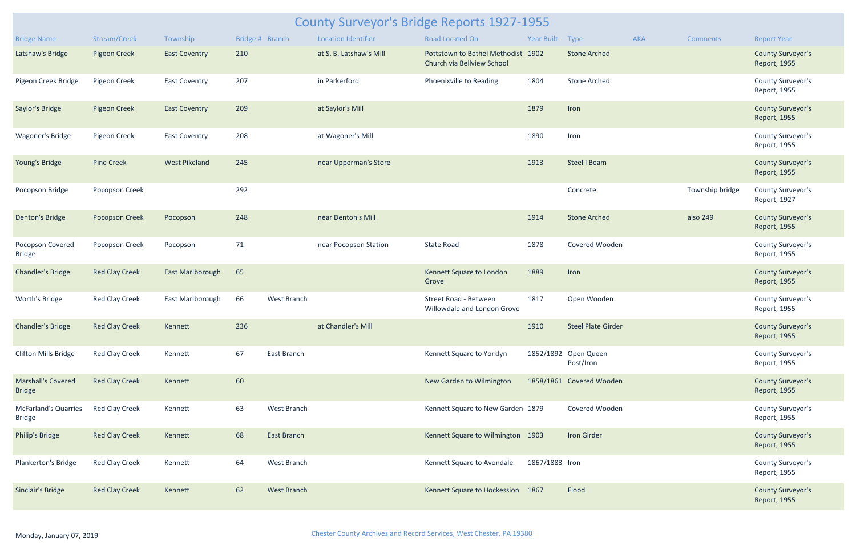| <b>County Surveyor's Bridge Reports 1927-1955</b> |                       |                      |                 |                    |                            |                                                                  |                 |                                   |            |                 |                                          |  |  |
|---------------------------------------------------|-----------------------|----------------------|-----------------|--------------------|----------------------------|------------------------------------------------------------------|-----------------|-----------------------------------|------------|-----------------|------------------------------------------|--|--|
| <b>Bridge Name</b>                                | Stream/Creek          | Township             | Bridge # Branch |                    | <b>Location Identifier</b> | Road Located On                                                  | Year Built Type |                                   | <b>AKA</b> | <b>Comments</b> | <b>Report Year</b>                       |  |  |
| Latshaw's Bridge                                  | <b>Pigeon Creek</b>   | <b>East Coventry</b> | 210             |                    | at S. B. Latshaw's Mill    | Pottstown to Bethel Methodist 1902<br>Church via Bellview School |                 | <b>Stone Arched</b>               |            |                 | <b>County Surveyor's</b><br>Report, 1955 |  |  |
| Pigeon Creek Bridge                               | Pigeon Creek          | East Coventry        | 207             |                    | in Parkerford              | Phoenixville to Reading                                          | 1804            | <b>Stone Arched</b>               |            |                 | County Surveyor's<br>Report, 1955        |  |  |
| Saylor's Bridge                                   | Pigeon Creek          | <b>East Coventry</b> | 209             |                    | at Saylor's Mill           |                                                                  | 1879            | Iron                              |            |                 | <b>County Surveyor's</b><br>Report, 1955 |  |  |
| <b>Wagoner's Bridge</b>                           | Pigeon Creek          | <b>East Coventry</b> | 208             |                    | at Wagoner's Mill          |                                                                  | 1890            | Iron                              |            |                 | County Surveyor's<br>Report, 1955        |  |  |
| Young's Bridge                                    | <b>Pine Creek</b>     | <b>West Pikeland</b> | 245             |                    | near Upperman's Store      |                                                                  | 1913            | Steel I Beam                      |            |                 | <b>County Surveyor's</b><br>Report, 1955 |  |  |
| Pocopson Bridge                                   | Pocopson Creek        |                      | 292             |                    |                            |                                                                  |                 | Concrete                          |            | Township bridge | County Surveyor's<br>Report, 1927        |  |  |
| Denton's Bridge                                   | <b>Pocopson Creek</b> | Pocopson             | 248             |                    | near Denton's Mill         |                                                                  | 1914            | <b>Stone Arched</b>               |            | also 249        | <b>County Surveyor's</b><br>Report, 1955 |  |  |
| Pocopson Covered<br><b>Bridge</b>                 | Pocopson Creek        | Pocopson             | 71              |                    | near Pocopson Station      | <b>State Road</b>                                                | 1878            | Covered Wooden                    |            |                 | County Surveyor's<br>Report, 1955        |  |  |
| <b>Chandler's Bridge</b>                          | <b>Red Clay Creek</b> | East Marlborough     | 65              |                    |                            | Kennett Square to London<br>Grove                                | 1889            | Iron                              |            |                 | <b>County Surveyor's</b><br>Report, 1955 |  |  |
| Worth's Bridge                                    | <b>Red Clay Creek</b> | East Marlborough     | 66              | West Branch        |                            | Street Road - Between<br>Willowdale and London Grove             | 1817            | Open Wooden                       |            |                 | County Surveyor's<br>Report, 1955        |  |  |
| <b>Chandler's Bridge</b>                          | <b>Red Clay Creek</b> | Kennett              | 236             |                    | at Chandler's Mill         |                                                                  | 1910            | <b>Steel Plate Girder</b>         |            |                 | <b>County Surveyor's</b><br>Report, 1955 |  |  |
| <b>Clifton Mills Bridge</b>                       | Red Clay Creek        | Kennett              | 67              | East Branch        |                            | Kennett Square to Yorklyn                                        |                 | 1852/1892 Open Queen<br>Post/Iron |            |                 | County Surveyor's<br>Report, 1955        |  |  |
| <b>Marshall's Covered</b><br><b>Bridge</b>        | <b>Red Clay Creek</b> | Kennett              | 60              |                    |                            | New Garden to Wilmington                                         |                 | 1858/1861 Covered Wooden          |            |                 | <b>County Surveyor's</b><br>Report, 1955 |  |  |
| <b>McFarland's Quarries</b><br><b>Bridge</b>      | <b>Red Clay Creek</b> | Kennett              | 63              | West Branch        |                            | Kennett Square to New Garden 1879                                |                 | Covered Wooden                    |            |                 | County Surveyor's<br>Report, 1955        |  |  |
| <b>Philip's Bridge</b>                            | <b>Red Clay Creek</b> | Kennett              | 68              | East Branch        |                            | Kennett Square to Wilmington 1903                                |                 | <b>Iron Girder</b>                |            |                 | <b>County Surveyor's</b><br>Report, 1955 |  |  |
| <b>Plankerton's Bridge</b>                        | <b>Red Clay Creek</b> | Kennett              | 64              | West Branch        |                            | Kennett Square to Avondale                                       | 1867/1888 Iron  |                                   |            |                 | County Surveyor's<br>Report, 1955        |  |  |
| Sinclair's Bridge                                 | <b>Red Clay Creek</b> | Kennett              | 62              | <b>West Branch</b> |                            | Kennett Square to Hockession 1867                                |                 | Flood                             |            |                 | <b>County Surveyor's</b><br>Report, 1955 |  |  |
|                                                   |                       |                      |                 |                    |                            |                                                                  |                 |                                   |            |                 |                                          |  |  |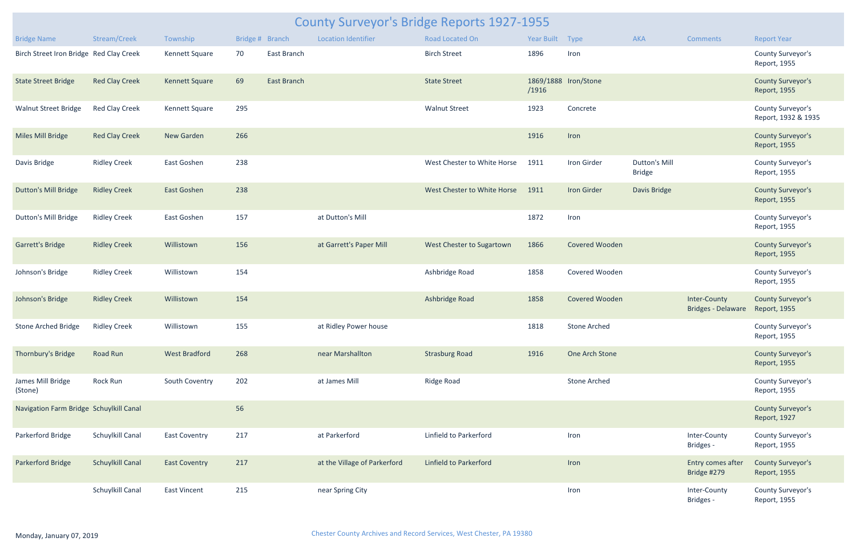| <b>County Surveyor's Bridge Reports 1927-1955</b> |                         |                       |     |                 |                              |                               |                 |                      |                                       |                                           |                                          |  |
|---------------------------------------------------|-------------------------|-----------------------|-----|-----------------|------------------------------|-------------------------------|-----------------|----------------------|---------------------------------------|-------------------------------------------|------------------------------------------|--|
| <b>Bridge Name</b>                                | Stream/Creek            | Township              |     | Bridge # Branch | <b>Location Identifier</b>   | Road Located On               | Year Built Type |                      | AKA                                   | <b>Comments</b>                           | <b>Report Year</b>                       |  |
| Birch Street Iron Bridge Red Clay Creek           |                         | Kennett Square        | 70  | East Branch     |                              | <b>Birch Street</b>           | 1896            | Iron                 |                                       |                                           | County Surveyor's<br>Report, 1955        |  |
| <b>State Street Bridge</b>                        | <b>Red Clay Creek</b>   | <b>Kennett Square</b> | 69  | East Branch     |                              | <b>State Street</b>           | /1916           | 1869/1888 Iron/Stone |                                       |                                           | <b>County Surveyor's</b><br>Report, 1955 |  |
| <b>Walnut Street Bridge</b>                       | <b>Red Clay Creek</b>   | Kennett Square        | 295 |                 |                              | <b>Walnut Street</b>          | 1923            | Concrete             |                                       |                                           | County Surveyor's<br>Report, 1932 & 1935 |  |
| Miles Mill Bridge                                 | <b>Red Clay Creek</b>   | New Garden            | 266 |                 |                              |                               | 1916            | Iron                 |                                       |                                           | <b>County Surveyor's</b><br>Report, 1955 |  |
| Davis Bridge                                      | <b>Ridley Creek</b>     | East Goshen           | 238 |                 |                              | West Chester to White Horse   | 1911            | Iron Girder          | <b>Dutton's Mill</b><br><b>Bridge</b> |                                           | County Surveyor's<br>Report, 1955        |  |
| <b>Dutton's Mill Bridge</b>                       | <b>Ridley Creek</b>     | <b>East Goshen</b>    | 238 |                 |                              | West Chester to White Horse   | 1911            | <b>Iron Girder</b>   | Davis Bridge                          |                                           | <b>County Surveyor's</b><br>Report, 1955 |  |
| <b>Dutton's Mill Bridge</b>                       | <b>Ridley Creek</b>     | East Goshen           | 157 |                 | at Dutton's Mill             |                               | 1872            | Iron                 |                                       |                                           | County Surveyor's<br>Report, 1955        |  |
| Garrett's Bridge                                  | <b>Ridley Creek</b>     | Willistown            | 156 |                 | at Garrett's Paper Mill      | West Chester to Sugartown     | 1866            | Covered Wooden       |                                       |                                           | <b>County Surveyor's</b><br>Report, 1955 |  |
| Johnson's Bridge                                  | <b>Ridley Creek</b>     | Willistown            | 154 |                 |                              | Ashbridge Road                | 1858            | Covered Wooden       |                                       |                                           | County Surveyor's<br>Report, 1955        |  |
| Johnson's Bridge                                  | <b>Ridley Creek</b>     | Willistown            | 154 |                 |                              | Ashbridge Road                | 1858            | Covered Wooden       |                                       | Inter-County<br><b>Bridges - Delaware</b> | <b>County Surveyor's</b><br>Report, 1955 |  |
| Stone Arched Bridge                               | <b>Ridley Creek</b>     | Willistown            | 155 |                 | at Ridley Power house        |                               | 1818            | Stone Arched         |                                       |                                           | County Surveyor's<br>Report, 1955        |  |
| Thornbury's Bridge                                | <b>Road Run</b>         | <b>West Bradford</b>  | 268 |                 | near Marshallton             | <b>Strasburg Road</b>         | 1916            | One Arch Stone       |                                       |                                           | <b>County Surveyor's</b><br>Report, 1955 |  |
| James Mill Bridge<br>(Stone)                      | Rock Run                | South Coventry        | 202 |                 | at James Mill                | Ridge Road                    |                 | <b>Stone Arched</b>  |                                       |                                           | County Surveyor's<br>Report, 1955        |  |
| Navigation Farm Bridge Schuylkill Canal           |                         |                       | 56  |                 |                              |                               |                 |                      |                                       |                                           | <b>County Surveyor's</b><br>Report, 1927 |  |
| Parkerford Bridge                                 | Schuylkill Canal        | <b>East Coventry</b>  | 217 |                 | at Parkerford                | Linfield to Parkerford        |                 | Iron                 |                                       | Inter-County<br>Bridges -                 | County Surveyor's<br>Report, 1955        |  |
| Parkerford Bridge                                 | <b>Schuylkill Canal</b> | <b>East Coventry</b>  | 217 |                 | at the Village of Parkerford | <b>Linfield to Parkerford</b> |                 | Iron                 |                                       | Entry comes after<br>Bridge #279          | <b>County Surveyor's</b><br>Report, 1955 |  |
|                                                   | Schuylkill Canal        | <b>East Vincent</b>   | 215 |                 | near Spring City             |                               |                 | Iron                 |                                       | Inter-County<br>Bridges -                 | County Surveyor's<br>Report, 1955        |  |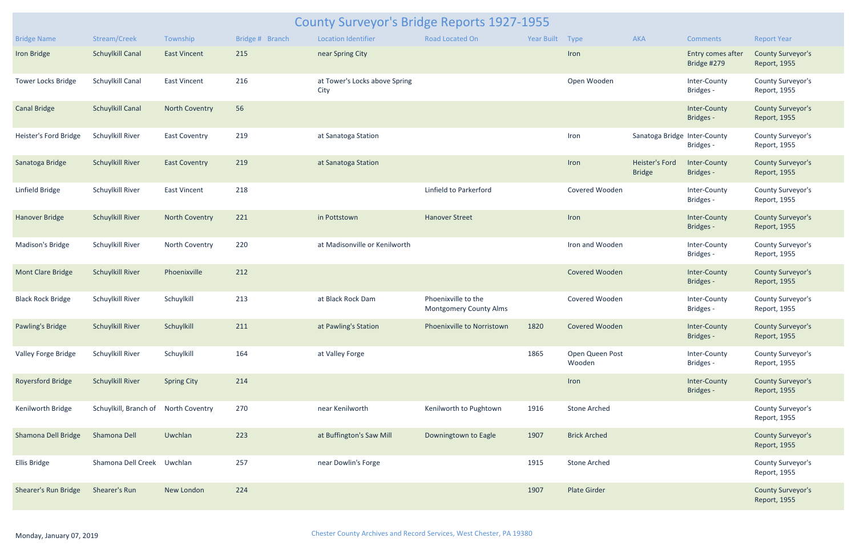| County Surveyor's Bridge Reports 1927-1955 |                                      |                       |                 |                                       |                                                      |                 |                           |                                        |                                  |                                          |  |  |  |
|--------------------------------------------|--------------------------------------|-----------------------|-----------------|---------------------------------------|------------------------------------------------------|-----------------|---------------------------|----------------------------------------|----------------------------------|------------------------------------------|--|--|--|
| <b>Bridge Name</b>                         | Stream/Creek                         | Township              | Bridge # Branch | <b>Location Identifier</b>            | <b>Road Located On</b>                               | Year Built Type |                           | <b>AKA</b>                             | Comments                         | <b>Report Year</b>                       |  |  |  |
| Iron Bridge                                | <b>Schuylkill Canal</b>              | <b>East Vincent</b>   | 215             | near Spring City                      |                                                      |                 | Iron                      |                                        | Entry comes after<br>Bridge #279 | <b>County Surveyor's</b><br>Report, 1955 |  |  |  |
| <b>Tower Locks Bridge</b>                  | Schuylkill Canal                     | East Vincent          | 216             | at Tower's Locks above Spring<br>City |                                                      |                 | Open Wooden               |                                        | Inter-County<br>Bridges -        | County Surveyor's<br>Report, 1955        |  |  |  |
| <b>Canal Bridge</b>                        | <b>Schuylkill Canal</b>              | <b>North Coventry</b> | 56              |                                       |                                                      |                 |                           |                                        | Inter-County<br>Bridges -        | <b>County Surveyor's</b><br>Report, 1955 |  |  |  |
| Heister's Ford Bridge                      | Schuylkill River                     | <b>East Coventry</b>  | 219             | at Sanatoga Station                   |                                                      |                 | Iron                      | Sanatoga Bridge Inter-County           | Bridges -                        | County Surveyor's<br>Report, 1955        |  |  |  |
| Sanatoga Bridge                            | <b>Schuylkill River</b>              | <b>East Coventry</b>  | 219             | at Sanatoga Station                   |                                                      |                 | Iron                      | <b>Heister's Ford</b><br><b>Bridge</b> | Inter-County<br>Bridges -        | <b>County Surveyor's</b><br>Report, 1955 |  |  |  |
| Linfield Bridge                            | Schuylkill River                     | East Vincent          | 218             |                                       | Linfield to Parkerford                               |                 | Covered Wooden            |                                        | Inter-County<br>Bridges -        | <b>County Surveyor's</b><br>Report, 1955 |  |  |  |
| <b>Hanover Bridge</b>                      | <b>Schuylkill River</b>              | <b>North Coventry</b> | 221             | in Pottstown                          | <b>Hanover Street</b>                                |                 | Iron                      |                                        | Inter-County<br>Bridges -        | <b>County Surveyor's</b><br>Report, 1955 |  |  |  |
| Madison's Bridge                           | Schuylkill River                     | North Coventry        | 220             | at Madisonville or Kenilworth         |                                                      |                 | Iron and Wooden           |                                        | Inter-County<br>Bridges -        | County Surveyor's<br>Report, 1955        |  |  |  |
| <b>Mont Clare Bridge</b>                   | <b>Schuylkill River</b>              | Phoenixville          | 212             |                                       |                                                      |                 | Covered Wooden            |                                        | Inter-County<br>Bridges -        | <b>County Surveyor's</b><br>Report, 1955 |  |  |  |
| <b>Black Rock Bridge</b>                   | Schuylkill River                     | Schuylkill            | 213             | at Black Rock Dam                     | Phoenixville to the<br><b>Montgomery County Alms</b> |                 | Covered Wooden            |                                        | Inter-County<br>Bridges -        | County Surveyor's<br>Report, 1955        |  |  |  |
| Pawling's Bridge                           | <b>Schuylkill River</b>              | Schuylkill            | 211             | at Pawling's Station                  | Phoenixville to Norristown                           | 1820            | Covered Wooden            |                                        | Inter-County<br><b>Bridges -</b> | <b>County Surveyor's</b><br>Report, 1955 |  |  |  |
| Valley Forge Bridge                        | Schuylkill River                     | Schuylkill            | 164             | at Valley Forge                       |                                                      | 1865            | Open Queen Post<br>Wooden |                                        | Inter-County<br>Bridges -        | County Surveyor's<br>Report, 1955        |  |  |  |
| <b>Royersford Bridge</b>                   | <b>Schuylkill River</b>              | <b>Spring City</b>    | 214             |                                       |                                                      |                 | Iron                      |                                        | Inter-County<br>Bridges -        | <b>County Surveyor's</b><br>Report, 1955 |  |  |  |
| Kenilworth Bridge                          | Schuylkill, Branch of North Coventry |                       | 270             | near Kenilworth                       | Kenilworth to Pughtown                               | 1916            | <b>Stone Arched</b>       |                                        |                                  | County Surveyor's<br>Report, 1955        |  |  |  |
| Shamona Dell Bridge                        | Shamona Dell                         | Uwchlan               | 223             | at Buffington's Saw Mill              | Downingtown to Eagle                                 | 1907            | <b>Brick Arched</b>       |                                        |                                  | <b>County Surveyor's</b><br>Report, 1955 |  |  |  |
| Ellis Bridge                               | Shamona Dell Creek Uwchlan           |                       | 257             | near Dowlin's Forge                   |                                                      | 1915            | <b>Stone Arched</b>       |                                        |                                  | County Surveyor's<br>Report, 1955        |  |  |  |
| Shearer's Run Bridge                       | Shearer's Run                        | New London            | 224             |                                       |                                                      | 1907            | <b>Plate Girder</b>       |                                        |                                  | <b>County Surveyor's</b><br>Report, 1955 |  |  |  |
|                                            |                                      |                       |                 |                                       |                                                      |                 |                           |                                        |                                  |                                          |  |  |  |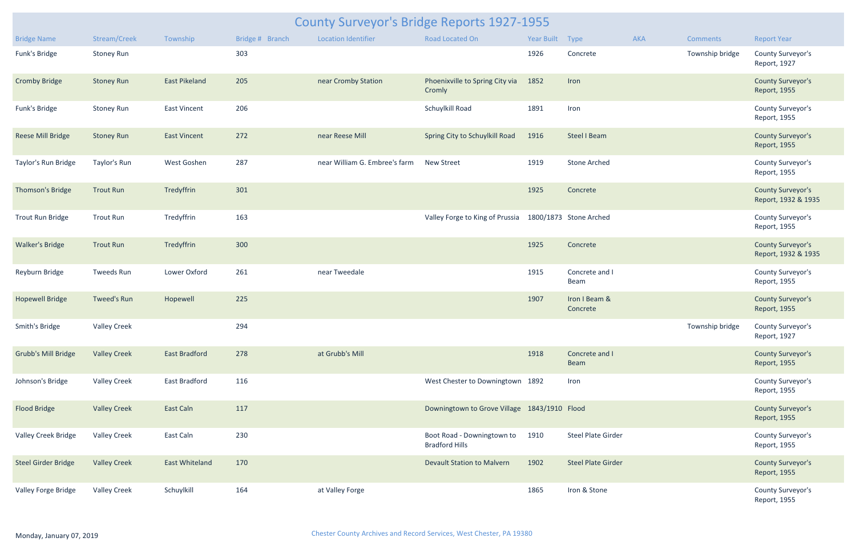| <b>County Surveyor's Bridge Reports 1927-1955</b> |                     |                       |                 |                               |                                                     |                 |                           |     |                 |                                                 |  |  |
|---------------------------------------------------|---------------------|-----------------------|-----------------|-------------------------------|-----------------------------------------------------|-----------------|---------------------------|-----|-----------------|-------------------------------------------------|--|--|
| <b>Bridge Name</b>                                | Stream/Creek        | Township              | Bridge # Branch | <b>Location Identifier</b>    | Road Located On                                     | Year Built Type |                           | AKA | <b>Comments</b> | <b>Report Year</b>                              |  |  |
| Funk's Bridge                                     | <b>Stoney Run</b>   |                       | 303             |                               |                                                     | 1926            | Concrete                  |     | Township bridge | County Surveyor's<br>Report, 1927               |  |  |
| <b>Cromby Bridge</b>                              | <b>Stoney Run</b>   | <b>East Pikeland</b>  | 205             | near Cromby Station           | Phoenixville to Spring City via<br>Cromly           | 1852            | Iron                      |     |                 | <b>County Surveyor's</b><br>Report, 1955        |  |  |
| Funk's Bridge                                     | <b>Stoney Run</b>   | <b>East Vincent</b>   | 206             |                               | Schuylkill Road                                     | 1891            | Iron                      |     |                 | County Surveyor's<br>Report, 1955               |  |  |
| <b>Reese Mill Bridge</b>                          | <b>Stoney Run</b>   | <b>East Vincent</b>   | 272             | near Reese Mill               | Spring City to Schuylkill Road                      | 1916            | <b>Steel I Beam</b>       |     |                 | <b>County Surveyor's</b><br>Report, 1955        |  |  |
| Taylor's Run Bridge                               | Taylor's Run        | West Goshen           | 287             | near William G. Embree's farm | <b>New Street</b>                                   | 1919            | <b>Stone Arched</b>       |     |                 | County Surveyor's<br>Report, 1955               |  |  |
| Thomson's Bridge                                  | <b>Trout Run</b>    | Tredyffrin            | 301             |                               |                                                     | 1925            | Concrete                  |     |                 | <b>County Surveyor's</b><br>Report, 1932 & 1935 |  |  |
| Trout Run Bridge                                  | <b>Trout Run</b>    | Tredyffrin            | 163             |                               | Valley Forge to King of Prussia                     |                 | 1800/1873 Stone Arched    |     |                 | County Surveyor's<br>Report, 1955               |  |  |
| <b>Walker's Bridge</b>                            | <b>Trout Run</b>    | Tredyffrin            | 300             |                               |                                                     | 1925            | Concrete                  |     |                 | <b>County Surveyor's</b><br>Report, 1932 & 1935 |  |  |
| Reyburn Bridge                                    | Tweeds Run          | Lower Oxford          | 261             | near Tweedale                 |                                                     | 1915            | Concrete and I<br>Beam    |     |                 | County Surveyor's<br>Report, 1955               |  |  |
| <b>Hopewell Bridge</b>                            | <b>Tweed's Run</b>  | Hopewell              | 225             |                               |                                                     | 1907            | Iron I Beam &<br>Concrete |     |                 | <b>County Surveyor's</b><br>Report, 1955        |  |  |
| Smith's Bridge                                    | <b>Valley Creek</b> |                       | 294             |                               |                                                     |                 |                           |     | Township bridge | County Surveyor's<br>Report, 1927               |  |  |
| <b>Grubb's Mill Bridge</b>                        | <b>Valley Creek</b> | <b>East Bradford</b>  | 278             | at Grubb's Mill               |                                                     | 1918            | Concrete and I<br>Beam    |     |                 | <b>County Surveyor's</b><br>Report, 1955        |  |  |
| Johnson's Bridge                                  | <b>Valley Creek</b> | East Bradford         | 116             |                               | West Chester to Downingtown 1892                    |                 | Iron                      |     |                 | County Surveyor's<br>Report, 1955               |  |  |
| <b>Flood Bridge</b>                               | <b>Valley Creek</b> | East Caln             | 117             |                               | Downingtown to Grove Village 1843/1910 Flood        |                 |                           |     |                 | <b>County Surveyor's</b><br>Report, 1955        |  |  |
| <b>Valley Creek Bridge</b>                        | <b>Valley Creek</b> | East Caln             | 230             |                               | Boot Road - Downingtown to<br><b>Bradford Hills</b> | 1910            | <b>Steel Plate Girder</b> |     |                 | County Surveyor's<br>Report, 1955               |  |  |
| <b>Steel Girder Bridge</b>                        | <b>Valley Creek</b> | <b>East Whiteland</b> | 170             |                               | <b>Devault Station to Malvern</b>                   | 1902            | <b>Steel Plate Girder</b> |     |                 | <b>County Surveyor's</b><br>Report, 1955        |  |  |
| Valley Forge Bridge                               | <b>Valley Creek</b> | Schuylkill            | 164             | at Valley Forge               |                                                     | 1865            | Iron & Stone              |     |                 | County Surveyor's<br>Report, 1955               |  |  |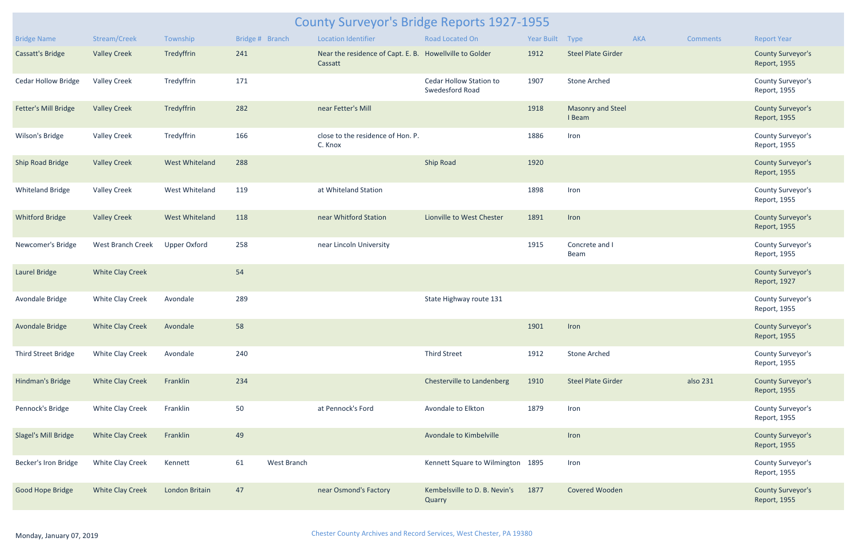| <b>County Surveyor's Bridge Reports 1927-1955</b> |                          |                       |                   |                                                                    |                                            |            |                             |            |                 |                                          |  |  |  |
|---------------------------------------------------|--------------------------|-----------------------|-------------------|--------------------------------------------------------------------|--------------------------------------------|------------|-----------------------------|------------|-----------------|------------------------------------------|--|--|--|
| <b>Bridge Name</b>                                | Stream/Creek             | Township              | Bridge # Branch   | <b>Location Identifier</b>                                         | Road Located On                            | Year Built | Type                        | <b>AKA</b> | <b>Comments</b> | <b>Report Year</b>                       |  |  |  |
| Cassatt's Bridge                                  | <b>Valley Creek</b>      | Tredyffrin            | 241               | Near the residence of Capt. E. B. Howellville to Golder<br>Cassatt |                                            | 1912       | <b>Steel Plate Girder</b>   |            |                 | <b>County Surveyor's</b><br>Report, 1955 |  |  |  |
| <b>Cedar Hollow Bridge</b>                        | <b>Valley Creek</b>      | Tredyffrin            | 171               |                                                                    | Cedar Hollow Station to<br>Swedesford Road | 1907       | <b>Stone Arched</b>         |            |                 | County Surveyor's<br>Report, 1955        |  |  |  |
| Fetter's Mill Bridge                              | <b>Valley Creek</b>      | Tredyffrin            | 282               | near Fetter's Mill                                                 |                                            | 1918       | Masonry and Steel<br>I Beam |            |                 | <b>County Surveyor's</b><br>Report, 1955 |  |  |  |
| Wilson's Bridge                                   | <b>Valley Creek</b>      | Tredyffrin            | 166               | close to the residence of Hon. P.<br>C. Knox                       |                                            | 1886       | Iron                        |            |                 | County Surveyor's<br>Report, 1955        |  |  |  |
| <b>Ship Road Bridge</b>                           | <b>Valley Creek</b>      | <b>West Whiteland</b> | 288               |                                                                    | <b>Ship Road</b>                           | 1920       |                             |            |                 | <b>County Surveyor's</b><br>Report, 1955 |  |  |  |
| <b>Whiteland Bridge</b>                           | <b>Valley Creek</b>      | West Whiteland        | 119               | at Whiteland Station                                               |                                            | 1898       | Iron                        |            |                 | County Surveyor's<br>Report, 1955        |  |  |  |
| <b>Whitford Bridge</b>                            | <b>Valley Creek</b>      | <b>West Whiteland</b> | 118               | near Whitford Station                                              | Lionville to West Chester                  | 1891       | Iron                        |            |                 | <b>County Surveyor's</b><br>Report, 1955 |  |  |  |
| Newcomer's Bridge                                 | <b>West Branch Creek</b> | <b>Upper Oxford</b>   | 258               | near Lincoln University                                            |                                            | 1915       | Concrete and I<br>Beam      |            |                 | County Surveyor's<br>Report, 1955        |  |  |  |
| <b>Laurel Bridge</b>                              | <b>White Clay Creek</b>  |                       | 54                |                                                                    |                                            |            |                             |            |                 | <b>County Surveyor's</b><br>Report, 1927 |  |  |  |
| Avondale Bridge                                   | <b>White Clay Creek</b>  | Avondale              | 289               |                                                                    | State Highway route 131                    |            |                             |            |                 | County Surveyor's<br>Report, 1955        |  |  |  |
| Avondale Bridge                                   | White Clay Creek         | Avondale              | 58                |                                                                    |                                            | 1901       | Iron                        |            |                 | <b>County Surveyor's</b><br>Report, 1955 |  |  |  |
| Third Street Bridge                               | <b>White Clay Creek</b>  | Avondale              | 240               |                                                                    | <b>Third Street</b>                        | 1912       | <b>Stone Arched</b>         |            |                 | County Surveyor's<br>Report, 1955        |  |  |  |
| Hindman's Bridge                                  | <b>White Clay Creek</b>  | Franklin              | 234               |                                                                    | Chesterville to Landenberg                 | 1910       | <b>Steel Plate Girder</b>   |            | also 231        | <b>County Surveyor's</b><br>Report, 1955 |  |  |  |
| Pennock's Bridge                                  | <b>White Clay Creek</b>  | Franklin              | 50                | at Pennock's Ford                                                  | Avondale to Elkton                         | 1879       | Iron                        |            |                 | County Surveyor's<br>Report, 1955        |  |  |  |
| Slagel's Mill Bridge                              | <b>White Clay Creek</b>  | Franklin              | 49                |                                                                    | Avondale to Kimbelville                    |            | Iron                        |            |                 | <b>County Surveyor's</b><br>Report, 1955 |  |  |  |
| Becker's Iron Bridge                              | <b>White Clay Creek</b>  | Kennett               | 61<br>West Branch |                                                                    | Kennett Square to Wilmington 1895          |            | Iron                        |            |                 | County Surveyor's<br>Report, 1955        |  |  |  |
| Good Hope Bridge                                  | <b>White Clay Creek</b>  | London Britain        | 47                | near Osmond's Factory                                              | Kembelsville to D. B. Nevin's<br>Quarry    | 1877       | Covered Wooden              |            |                 | <b>County Surveyor's</b><br>Report, 1955 |  |  |  |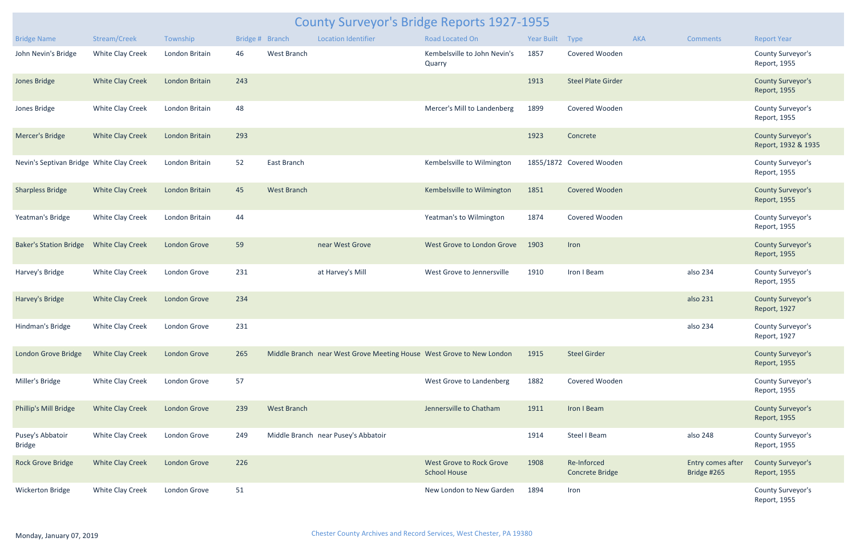| County Surveyor's Bridge Reports 1927-1955 |                         |                     |     |                    |                                                                      |                                                 |                 |                                |     |                                  |                                                 |  |  |
|--------------------------------------------|-------------------------|---------------------|-----|--------------------|----------------------------------------------------------------------|-------------------------------------------------|-----------------|--------------------------------|-----|----------------------------------|-------------------------------------------------|--|--|
| <b>Bridge Name</b>                         | Stream/Creek            | Township            |     | Bridge # Branch    | <b>Location Identifier</b>                                           | Road Located On                                 | Year Built Type |                                | AKA | <b>Comments</b>                  | <b>Report Year</b>                              |  |  |
| John Nevin's Bridge                        | White Clay Creek        | London Britain      | 46  | West Branch        |                                                                      | Kembelsville to John Nevin's<br>Quarry          | 1857            | Covered Wooden                 |     |                                  | County Surveyor's<br>Report, 1955               |  |  |
| Jones Bridge                               | <b>White Clay Creek</b> | London Britain      | 243 |                    |                                                                      |                                                 | 1913            | <b>Steel Plate Girder</b>      |     |                                  | <b>County Surveyor's</b><br>Report, 1955        |  |  |
| Jones Bridge                               | White Clay Creek        | London Britain      | 48  |                    |                                                                      | Mercer's Mill to Landenberg                     | 1899            | Covered Wooden                 |     |                                  | County Surveyor's<br>Report, 1955               |  |  |
| Mercer's Bridge                            | <b>White Clay Creek</b> | London Britain      | 293 |                    |                                                                      |                                                 | 1923            | Concrete                       |     |                                  | <b>County Surveyor's</b><br>Report, 1932 & 1935 |  |  |
| Nevin's Septivan Bridge White Clay Creek   |                         | London Britain      | 52  | East Branch        |                                                                      | Kembelsville to Wilmington                      |                 | 1855/1872 Covered Wooden       |     |                                  | County Surveyor's<br>Report, 1955               |  |  |
| <b>Sharpless Bridge</b>                    | <b>White Clay Creek</b> | London Britain      | 45  | <b>West Branch</b> |                                                                      | Kembelsville to Wilmington                      | 1851            | Covered Wooden                 |     |                                  | <b>County Surveyor's</b><br>Report, 1955        |  |  |
| Yeatman's Bridge                           | White Clay Creek        | London Britain      | 44  |                    |                                                                      | Yeatman's to Wilmington                         | 1874            | Covered Wooden                 |     |                                  | County Surveyor's<br>Report, 1955               |  |  |
| <b>Baker's Station Bridge</b>              | <b>White Clay Creek</b> | London Grove        | 59  |                    | near West Grove                                                      | West Grove to London Grove                      | 1903            | Iron                           |     |                                  | <b>County Surveyor's</b><br>Report, 1955        |  |  |
| Harvey's Bridge                            | White Clay Creek        | London Grove        | 231 |                    | at Harvey's Mill                                                     | West Grove to Jennersville                      | 1910            | Iron I Beam                    |     | also 234                         | County Surveyor's<br>Report, 1955               |  |  |
| Harvey's Bridge                            | <b>White Clay Creek</b> | London Grove        | 234 |                    |                                                                      |                                                 |                 |                                |     | also 231                         | <b>County Surveyor's</b><br>Report, 1927        |  |  |
| Hindman's Bridge                           | White Clay Creek        | London Grove        | 231 |                    |                                                                      |                                                 |                 |                                |     | also 234                         | County Surveyor's<br>Report, 1927               |  |  |
| London Grove Bridge                        | <b>White Clay Creek</b> | London Grove        | 265 |                    | Middle Branch near West Grove Meeting House West Grove to New London |                                                 | 1915            | <b>Steel Girder</b>            |     |                                  | <b>County Surveyor's</b><br>Report, 1955        |  |  |
| Miller's Bridge                            | <b>White Clay Creek</b> | London Grove        | 57  |                    |                                                                      | West Grove to Landenberg                        | 1882            | Covered Wooden                 |     |                                  | County Surveyor's<br>Report, 1955               |  |  |
| Phillip's Mill Bridge                      | <b>White Clay Creek</b> | <b>London Grove</b> | 239 | <b>West Branch</b> |                                                                      | Jennersville to Chatham                         | 1911            | Iron I Beam                    |     |                                  | <b>County Surveyor's</b><br>Report, 1955        |  |  |
| Pusey's Abbatoir<br><b>Bridge</b>          | White Clay Creek        | London Grove        | 249 |                    | Middle Branch near Pusey's Abbatoir                                  |                                                 | 1914            | <b>Steel I Beam</b>            |     | also 248                         | County Surveyor's<br>Report, 1955               |  |  |
| <b>Rock Grove Bridge</b>                   | <b>White Clay Creek</b> | London Grove        | 226 |                    |                                                                      | West Grove to Rock Grove<br><b>School House</b> | 1908            | Re-Inforced<br>Concrete Bridge |     | Entry comes after<br>Bridge #265 | <b>County Surveyor's</b><br>Report, 1955        |  |  |
| <b>Wickerton Bridge</b>                    | White Clay Creek        | London Grove        | 51  |                    |                                                                      | New London to New Garden                        | 1894            | Iron                           |     |                                  | County Surveyor's<br>Report, 1955               |  |  |